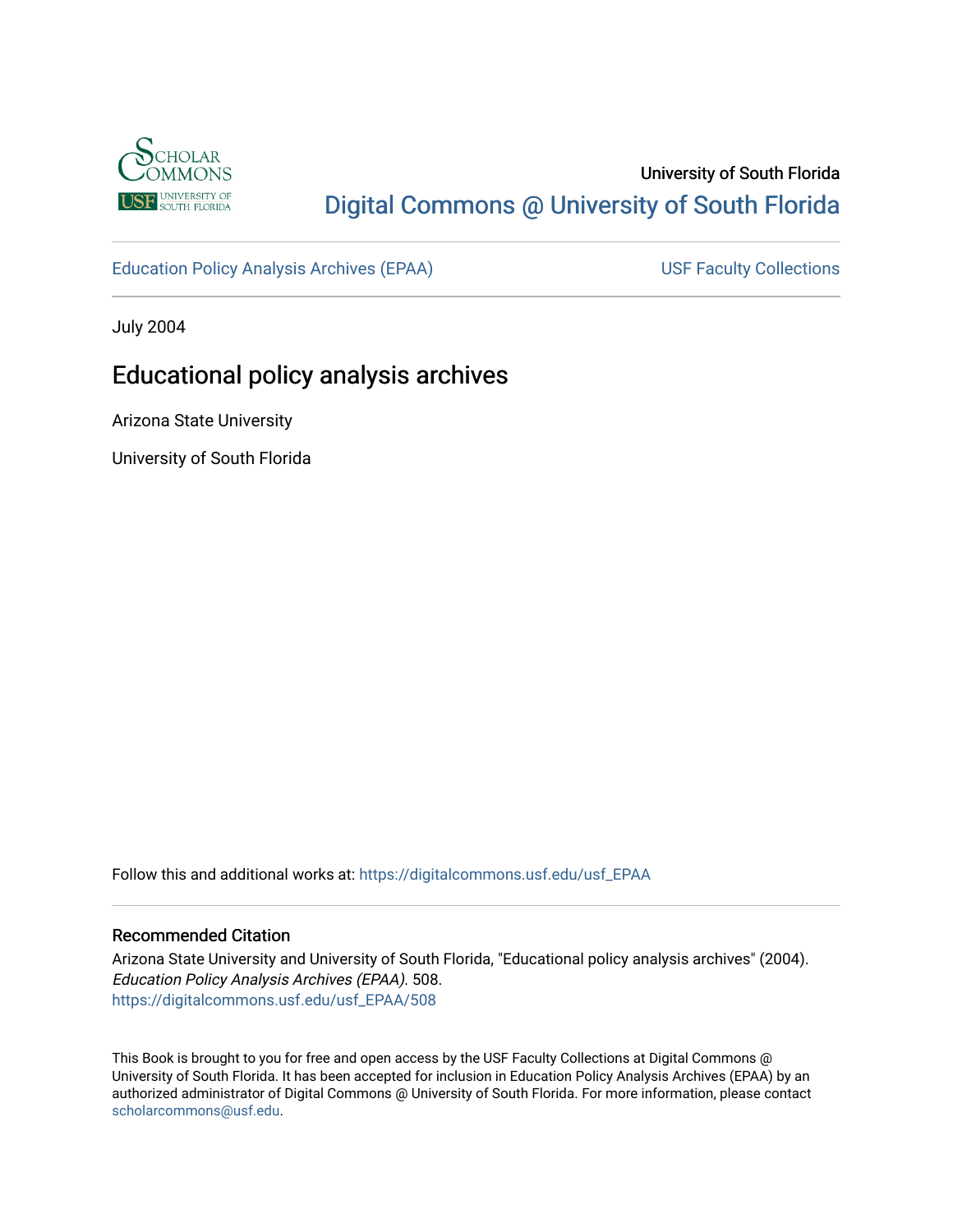

# University of South Florida [Digital Commons @ University of South Florida](https://digitalcommons.usf.edu/)

[Education Policy Analysis Archives \(EPAA\)](https://digitalcommons.usf.edu/usf_EPAA) USF Faculty Collections

July 2004

# Educational policy analysis archives

Arizona State University

University of South Florida

Follow this and additional works at: [https://digitalcommons.usf.edu/usf\\_EPAA](https://digitalcommons.usf.edu/usf_EPAA?utm_source=digitalcommons.usf.edu%2Fusf_EPAA%2F508&utm_medium=PDF&utm_campaign=PDFCoverPages)

#### Recommended Citation

Arizona State University and University of South Florida, "Educational policy analysis archives" (2004). Education Policy Analysis Archives (EPAA). 508. [https://digitalcommons.usf.edu/usf\\_EPAA/508](https://digitalcommons.usf.edu/usf_EPAA/508?utm_source=digitalcommons.usf.edu%2Fusf_EPAA%2F508&utm_medium=PDF&utm_campaign=PDFCoverPages)

This Book is brought to you for free and open access by the USF Faculty Collections at Digital Commons @ University of South Florida. It has been accepted for inclusion in Education Policy Analysis Archives (EPAA) by an authorized administrator of Digital Commons @ University of South Florida. For more information, please contact [scholarcommons@usf.edu.](mailto:scholarcommons@usf.edu)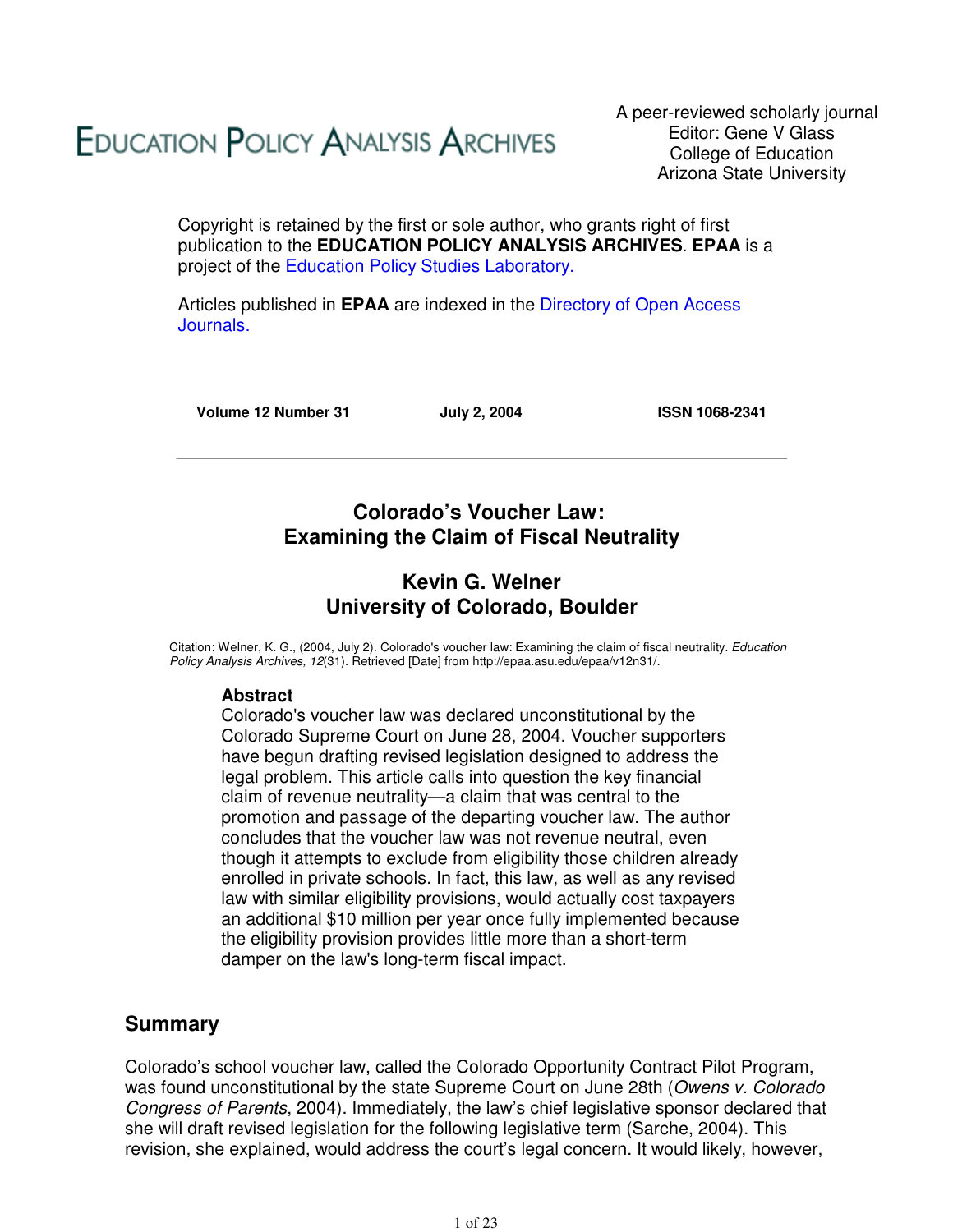# **EDUCATION POLICY ANALYSIS ARCHIVES**

A peer-reviewed scholarly journal Editor: Gene V Glass College of Education Arizona State University

Copyright is retained by the first or sole author, who grants right of first publication to the **EDUCATION POLICY ANALYSIS ARCHIVES**. **EPAA** is a project of the Education Policy Studies Laboratory.

Articles published in **EPAA** are indexed in the Directory of Open Access Journals.

**Volume 12 Number 31 July 2, 2004 ISSN 1068-2341**

# **Colorado's Voucher Law: Examining the Claim of Fiscal Neutrality**

# **Kevin G. Welner University of Colorado, Boulder**

Citation: Welner, K. G., (2004, July 2). Colorado's voucher law: Examining the claim of fiscal neutrality. Education Policy Analysis Archives, 12(31). Retrieved [Date] from http://epaa.asu.edu/epaa/v12n31/.

### **Abstract**

Colorado's voucher law was declared unconstitutional by the Colorado Supreme Court on June 28, 2004. Voucher supporters have begun drafting revised legislation designed to address the legal problem. This article calls into question the key financial claim of revenue neutrality—a claim that was central to the promotion and passage of the departing voucher law. The author concludes that the voucher law was not revenue neutral, even though it attempts to exclude from eligibility those children already enrolled in private schools. In fact, this law, as well as any revised law with similar eligibility provisions, would actually cost taxpayers an additional \$10 million per year once fully implemented because the eligibility provision provides little more than a short-term damper on the law's long-term fiscal impact.

### **Summary**

Colorado's school voucher law, called the Colorado Opportunity Contract Pilot Program, was found unconstitutional by the state Supreme Court on June 28th (Owens v. Colorado Congress of Parents, 2004). Immediately, the law's chief legislative sponsor declared that she will draft revised legislation for the following legislative term (Sarche, 2004). This revision, she explained, would address the court's legal concern. It would likely, however,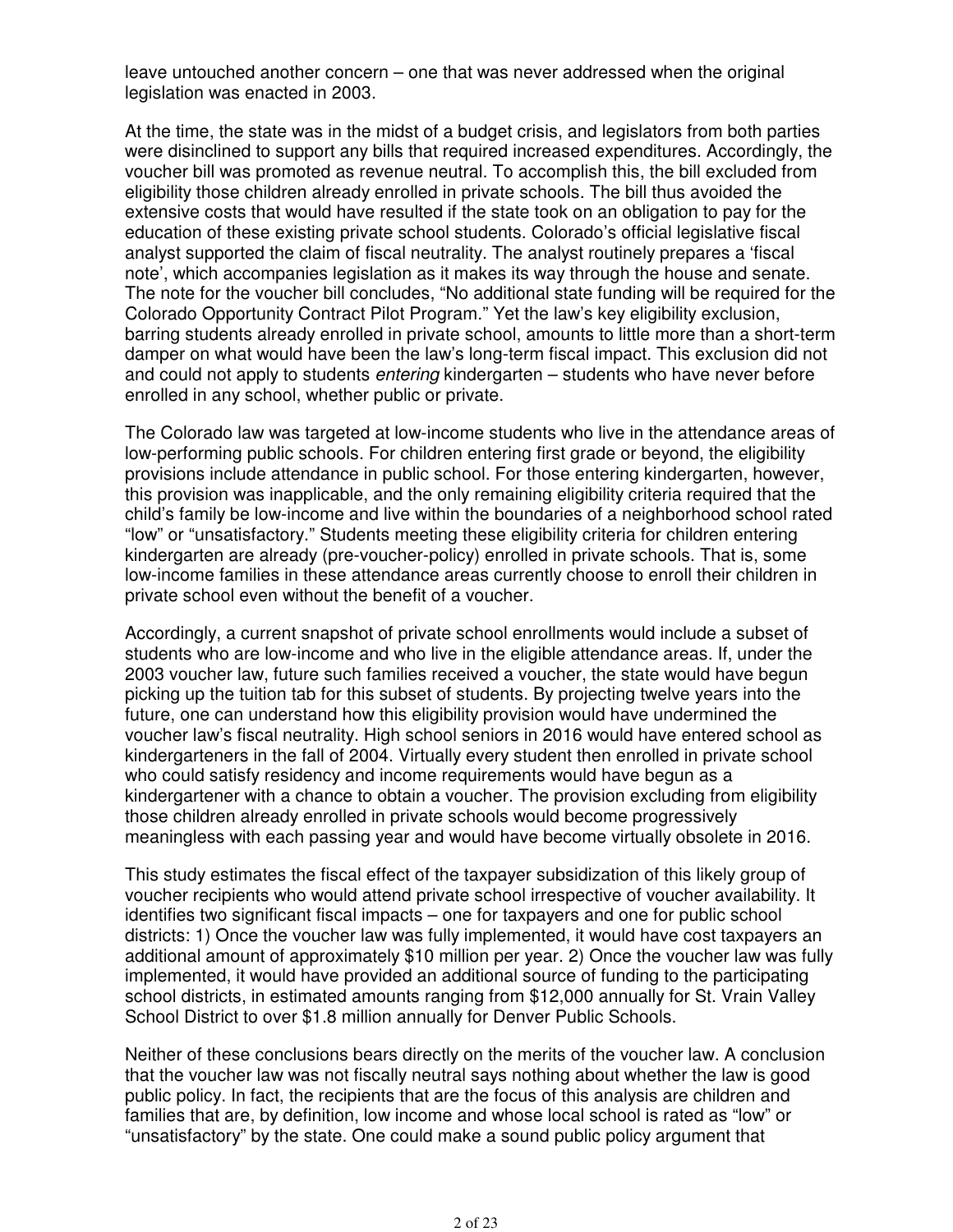leave untouched another concern – one that was never addressed when the original legislation was enacted in 2003.

At the time, the state was in the midst of a budget crisis, and legislators from both parties were disinclined to support any bills that required increased expenditures. Accordingly, the voucher bill was promoted as revenue neutral. To accomplish this, the bill excluded from eligibility those children already enrolled in private schools. The bill thus avoided the extensive costs that would have resulted if the state took on an obligation to pay for the education of these existing private school students. Colorado's official legislative fiscal analyst supported the claim of fiscal neutrality. The analyst routinely prepares a 'fiscal note', which accompanies legislation as it makes its way through the house and senate. The note for the voucher bill concludes, "No additional state funding will be required for the Colorado Opportunity Contract Pilot Program." Yet the law's key eligibility exclusion, barring students already enrolled in private school, amounts to little more than a short-term damper on what would have been the law's long-term fiscal impact. This exclusion did not and could not apply to students entering kindergarten – students who have never before enrolled in any school, whether public or private.

The Colorado law was targeted at low-income students who live in the attendance areas of low-performing public schools. For children entering first grade or beyond, the eligibility provisions include attendance in public school. For those entering kindergarten, however, this provision was inapplicable, and the only remaining eligibility criteria required that the child's family be low-income and live within the boundaries of a neighborhood school rated "low" or "unsatisfactory." Students meeting these eligibility criteria for children entering kindergarten are already (pre-voucher-policy) enrolled in private schools. That is, some low-income families in these attendance areas currently choose to enroll their children in private school even without the benefit of a voucher.

Accordingly, a current snapshot of private school enrollments would include a subset of students who are low-income and who live in the eligible attendance areas. If, under the 2003 voucher law, future such families received a voucher, the state would have begun picking up the tuition tab for this subset of students. By projecting twelve years into the future, one can understand how this eligibility provision would have undermined the voucher law's fiscal neutrality. High school seniors in 2016 would have entered school as kindergarteners in the fall of 2004. Virtually every student then enrolled in private school who could satisfy residency and income requirements would have begun as a kindergartener with a chance to obtain a voucher. The provision excluding from eligibility those children already enrolled in private schools would become progressively meaningless with each passing year and would have become virtually obsolete in 2016.

This study estimates the fiscal effect of the taxpayer subsidization of this likely group of voucher recipients who would attend private school irrespective of voucher availability. It identifies two significant fiscal impacts – one for taxpayers and one for public school districts: 1) Once the voucher law was fully implemented, it would have cost taxpayers an additional amount of approximately \$10 million per year. 2) Once the voucher law was fully implemented, it would have provided an additional source of funding to the participating school districts, in estimated amounts ranging from \$12,000 annually for St. Vrain Valley School District to over \$1.8 million annually for Denver Public Schools.

Neither of these conclusions bears directly on the merits of the voucher law. A conclusion that the voucher law was not fiscally neutral says nothing about whether the law is good public policy. In fact, the recipients that are the focus of this analysis are children and families that are, by definition, low income and whose local school is rated as "low" or "unsatisfactory" by the state. One could make a sound public policy argument that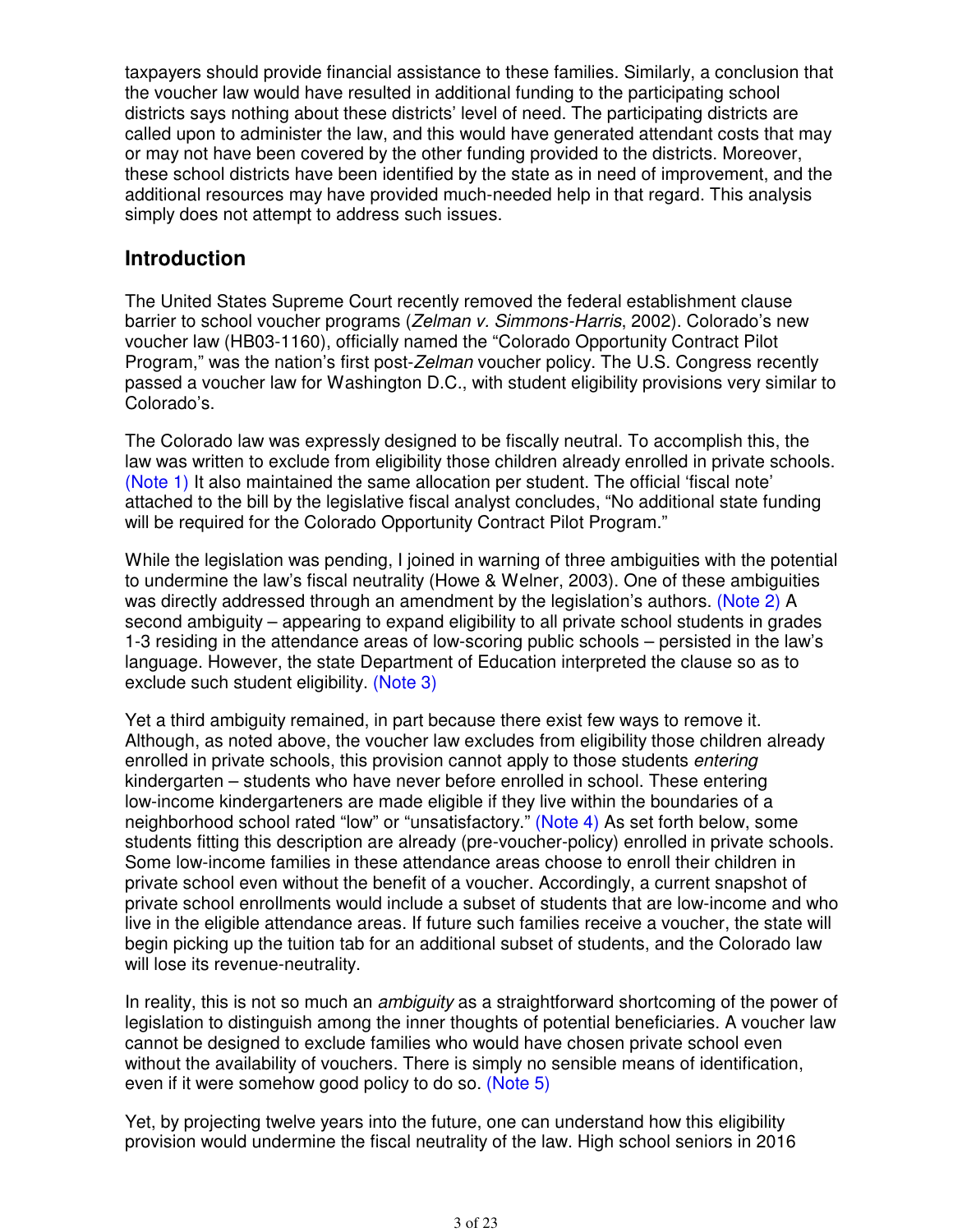taxpayers should provide financial assistance to these families. Similarly, a conclusion that the voucher law would have resulted in additional funding to the participating school districts says nothing about these districts' level of need. The participating districts are called upon to administer the law, and this would have generated attendant costs that may or may not have been covered by the other funding provided to the districts. Moreover, these school districts have been identified by the state as in need of improvement, and the additional resources may have provided much-needed help in that regard. This analysis simply does not attempt to address such issues.

### **Introduction**

The United States Supreme Court recently removed the federal establishment clause barrier to school voucher programs (Zelman v. Simmons-Harris, 2002). Colorado's new voucher law (HB03-1160), officially named the "Colorado Opportunity Contract Pilot Program," was the nation's first post-Zelman voucher policy. The U.S. Congress recently passed a voucher law for Washington D.C., with student eligibility provisions very similar to Colorado's.

The Colorado law was expressly designed to be fiscally neutral. To accomplish this, the law was written to exclude from eligibility those children already enrolled in private schools. (Note 1) It also maintained the same allocation per student. The official 'fiscal note' attached to the bill by the legislative fiscal analyst concludes, "No additional state funding will be required for the Colorado Opportunity Contract Pilot Program."

While the legislation was pending, I joined in warning of three ambiguities with the potential to undermine the law's fiscal neutrality (Howe & Welner, 2003). One of these ambiguities was directly addressed through an amendment by the legislation's authors. (Note 2) A second ambiguity – appearing to expand eligibility to all private school students in grades 1-3 residing in the attendance areas of low-scoring public schools – persisted in the law's language. However, the state Department of Education interpreted the clause so as to exclude such student eligibility. (Note 3)

Yet a third ambiguity remained, in part because there exist few ways to remove it. Although, as noted above, the voucher law excludes from eligibility those children already enrolled in private schools, this provision cannot apply to those students entering kindergarten – students who have never before enrolled in school. These entering low-income kindergarteners are made eligible if they live within the boundaries of a neighborhood school rated "low" or "unsatisfactory." (Note 4) As set forth below, some students fitting this description are already (pre-voucher-policy) enrolled in private schools. Some low-income families in these attendance areas choose to enroll their children in private school even without the benefit of a voucher. Accordingly, a current snapshot of private school enrollments would include a subset of students that are low-income and who live in the eligible attendance areas. If future such families receive a voucher, the state will begin picking up the tuition tab for an additional subset of students, and the Colorado law will lose its revenue-neutrality.

In reality, this is not so much an *ambiguity* as a straightforward shortcoming of the power of legislation to distinguish among the inner thoughts of potential beneficiaries. A voucher law cannot be designed to exclude families who would have chosen private school even without the availability of vouchers. There is simply no sensible means of identification, even if it were somehow good policy to do so. (Note 5)

Yet, by projecting twelve years into the future, one can understand how this eligibility provision would undermine the fiscal neutrality of the law. High school seniors in 2016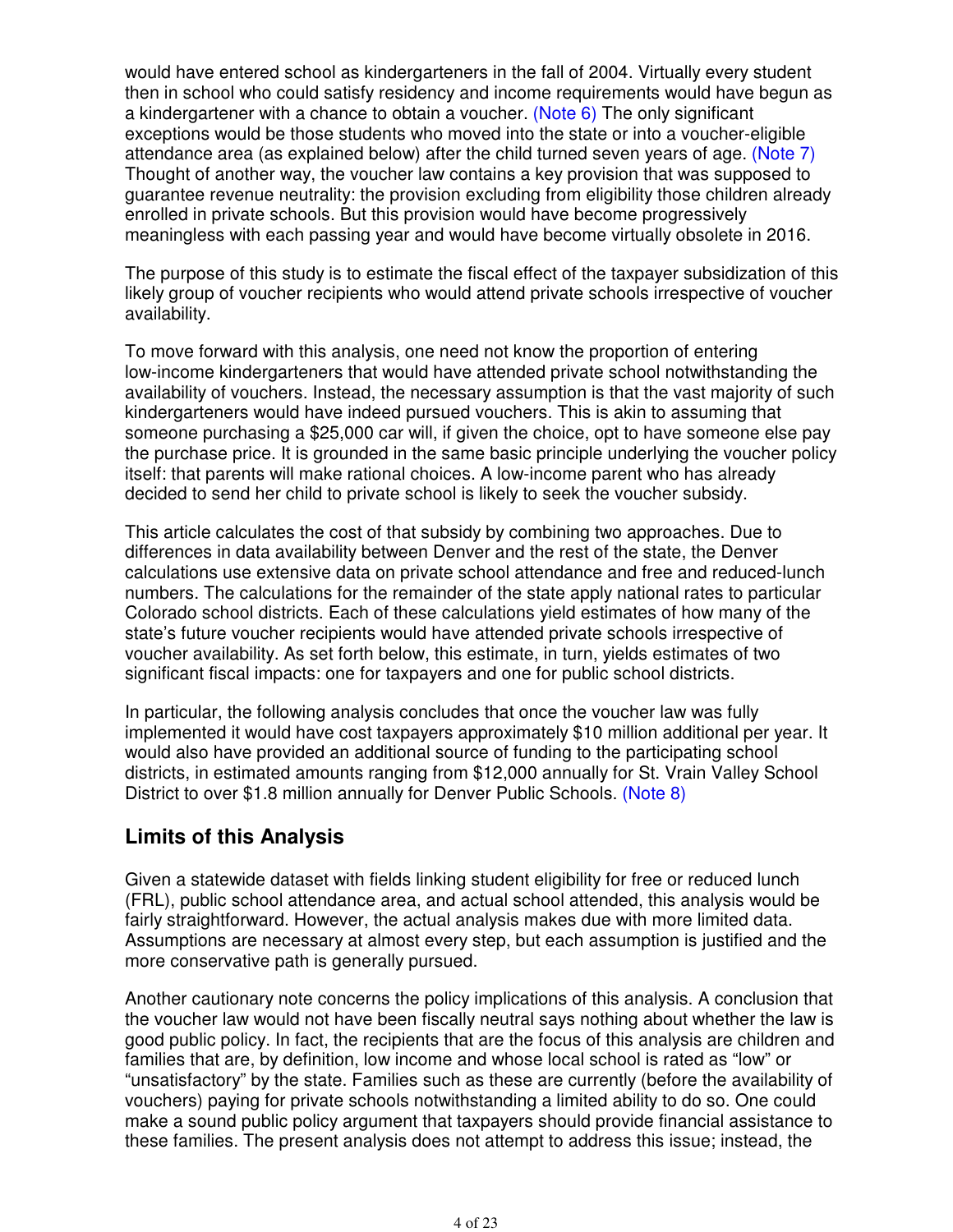would have entered school as kindergarteners in the fall of 2004. Virtually every student then in school who could satisfy residency and income requirements would have begun as a kindergartener with a chance to obtain a voucher. (Note 6) The only significant exceptions would be those students who moved into the state or into a voucher-eligible attendance area (as explained below) after the child turned seven years of age. (Note 7) Thought of another way, the voucher law contains a key provision that was supposed to guarantee revenue neutrality: the provision excluding from eligibility those children already enrolled in private schools. But this provision would have become progressively meaningless with each passing year and would have become virtually obsolete in 2016.

The purpose of this study is to estimate the fiscal effect of the taxpayer subsidization of this likely group of voucher recipients who would attend private schools irrespective of voucher availability.

To move forward with this analysis, one need not know the proportion of entering low-income kindergarteners that would have attended private school notwithstanding the availability of vouchers. Instead, the necessary assumption is that the vast majority of such kindergarteners would have indeed pursued vouchers. This is akin to assuming that someone purchasing a \$25,000 car will, if given the choice, opt to have someone else pay the purchase price. It is grounded in the same basic principle underlying the voucher policy itself: that parents will make rational choices. A low-income parent who has already decided to send her child to private school is likely to seek the voucher subsidy.

This article calculates the cost of that subsidy by combining two approaches. Due to differences in data availability between Denver and the rest of the state, the Denver calculations use extensive data on private school attendance and free and reduced-lunch numbers. The calculations for the remainder of the state apply national rates to particular Colorado school districts. Each of these calculations yield estimates of how many of the state's future voucher recipients would have attended private schools irrespective of voucher availability. As set forth below, this estimate, in turn, yields estimates of two significant fiscal impacts: one for taxpayers and one for public school districts.

In particular, the following analysis concludes that once the voucher law was fully implemented it would have cost taxpayers approximately \$10 million additional per year. It would also have provided an additional source of funding to the participating school districts, in estimated amounts ranging from \$12,000 annually for St. Vrain Valley School District to over \$1.8 million annually for Denver Public Schools. (Note 8)

# **Limits of this Analysis**

Given a statewide dataset with fields linking student eligibility for free or reduced lunch (FRL), public school attendance area, and actual school attended, this analysis would be fairly straightforward. However, the actual analysis makes due with more limited data. Assumptions are necessary at almost every step, but each assumption is justified and the more conservative path is generally pursued.

Another cautionary note concerns the policy implications of this analysis. A conclusion that the voucher law would not have been fiscally neutral says nothing about whether the law is good public policy. In fact, the recipients that are the focus of this analysis are children and families that are, by definition, low income and whose local school is rated as "low" or "unsatisfactory" by the state. Families such as these are currently (before the availability of vouchers) paying for private schools notwithstanding a limited ability to do so. One could make a sound public policy argument that taxpayers should provide financial assistance to these families. The present analysis does not attempt to address this issue; instead, the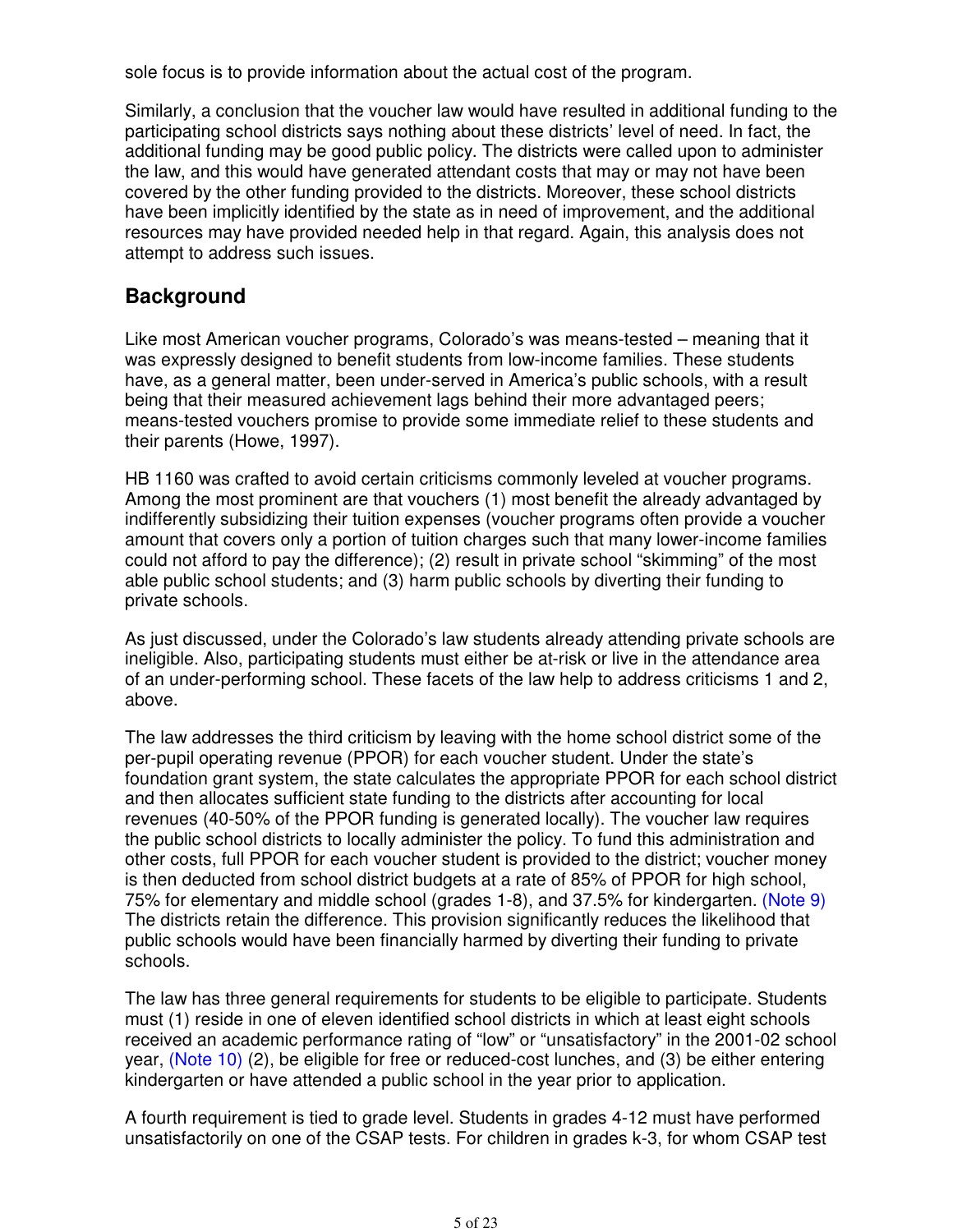sole focus is to provide information about the actual cost of the program.

Similarly, a conclusion that the voucher law would have resulted in additional funding to the participating school districts says nothing about these districts' level of need. In fact, the additional funding may be good public policy. The districts were called upon to administer the law, and this would have generated attendant costs that may or may not have been covered by the other funding provided to the districts. Moreover, these school districts have been implicitly identified by the state as in need of improvement, and the additional resources may have provided needed help in that regard. Again, this analysis does not attempt to address such issues.

# **Background**

Like most American voucher programs, Colorado's was means-tested – meaning that it was expressly designed to benefit students from low-income families. These students have, as a general matter, been under-served in America's public schools, with a result being that their measured achievement lags behind their more advantaged peers; means-tested vouchers promise to provide some immediate relief to these students and their parents (Howe, 1997).

HB 1160 was crafted to avoid certain criticisms commonly leveled at voucher programs. Among the most prominent are that vouchers (1) most benefit the already advantaged by indifferently subsidizing their tuition expenses (voucher programs often provide a voucher amount that covers only a portion of tuition charges such that many lower-income families could not afford to pay the difference); (2) result in private school "skimming" of the most able public school students; and (3) harm public schools by diverting their funding to private schools.

As just discussed, under the Colorado's law students already attending private schools are ineligible. Also, participating students must either be at-risk or live in the attendance area of an under-performing school. These facets of the law help to address criticisms 1 and 2, above.

The law addresses the third criticism by leaving with the home school district some of the per-pupil operating revenue (PPOR) for each voucher student. Under the state's foundation grant system, the state calculates the appropriate PPOR for each school district and then allocates sufficient state funding to the districts after accounting for local revenues (40-50% of the PPOR funding is generated locally). The voucher law requires the public school districts to locally administer the policy. To fund this administration and other costs, full PPOR for each voucher student is provided to the district; voucher money is then deducted from school district budgets at a rate of 85% of PPOR for high school, 75% for elementary and middle school (grades 1-8), and 37.5% for kindergarten. (Note 9) The districts retain the difference. This provision significantly reduces the likelihood that public schools would have been financially harmed by diverting their funding to private schools.

The law has three general requirements for students to be eligible to participate. Students must (1) reside in one of eleven identified school districts in which at least eight schools received an academic performance rating of "low" or "unsatisfactory" in the 2001-02 school year, (Note 10) (2), be eligible for free or reduced-cost lunches, and (3) be either entering kindergarten or have attended a public school in the year prior to application.

A fourth requirement is tied to grade level. Students in grades 4-12 must have performed unsatisfactorily on one of the CSAP tests. For children in grades k-3, for whom CSAP test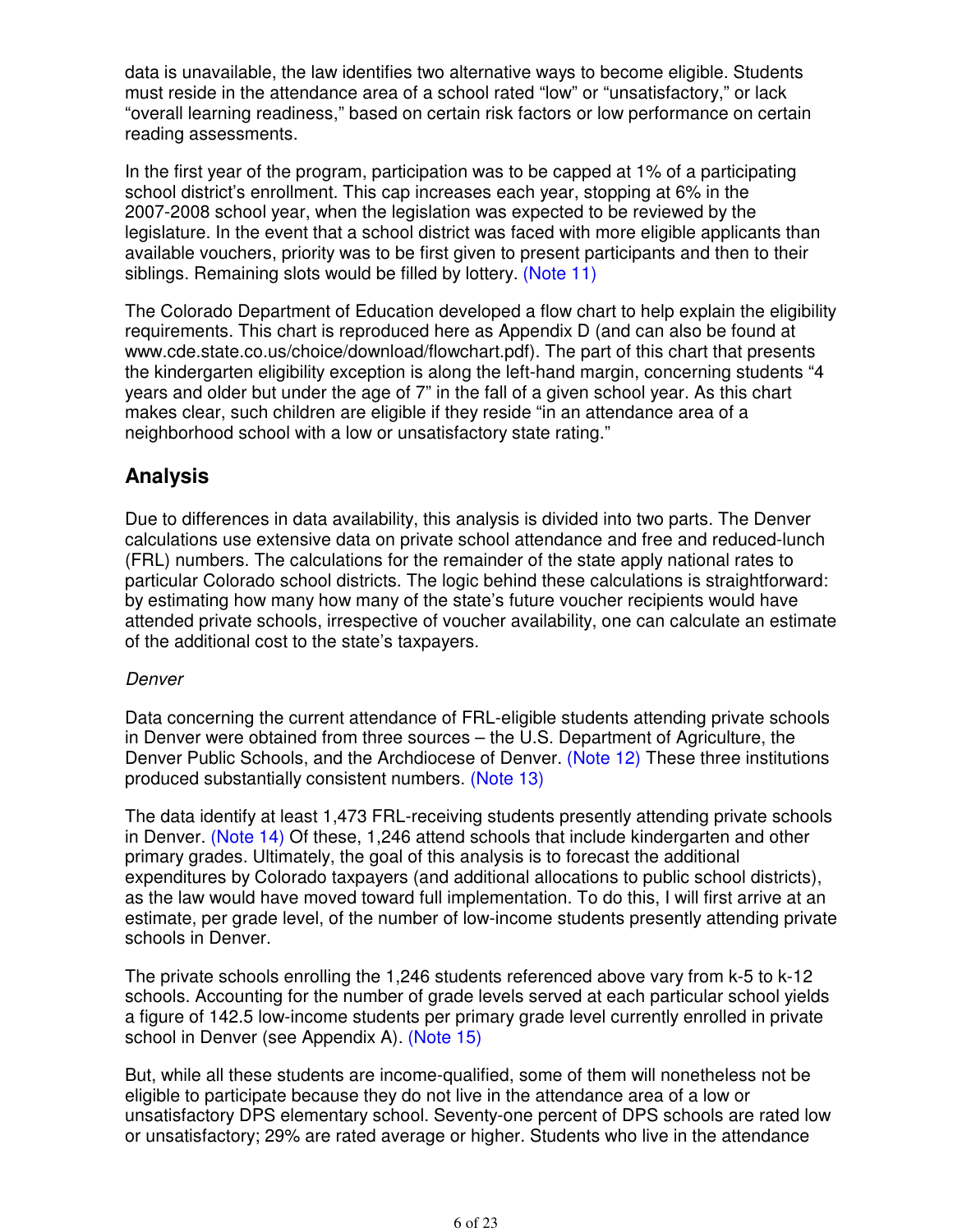data is unavailable, the law identifies two alternative ways to become eligible. Students must reside in the attendance area of a school rated "low" or "unsatisfactory," or lack "overall learning readiness," based on certain risk factors or low performance on certain reading assessments.

In the first year of the program, participation was to be capped at 1% of a participating school district's enrollment. This cap increases each year, stopping at 6% in the 2007-2008 school year, when the legislation was expected to be reviewed by the legislature. In the event that a school district was faced with more eligible applicants than available vouchers, priority was to be first given to present participants and then to their siblings. Remaining slots would be filled by lottery. (Note 11)

The Colorado Department of Education developed a flow chart to help explain the eligibility requirements. This chart is reproduced here as Appendix D (and can also be found at www.cde.state.co.us/choice/download/flowchart.pdf). The part of this chart that presents the kindergarten eligibility exception is along the left-hand margin, concerning students "4 years and older but under the age of 7" in the fall of a given school year. As this chart makes clear, such children are eligible if they reside "in an attendance area of a neighborhood school with a low or unsatisfactory state rating."

# **Analysis**

Due to differences in data availability, this analysis is divided into two parts. The Denver calculations use extensive data on private school attendance and free and reduced-lunch (FRL) numbers. The calculations for the remainder of the state apply national rates to particular Colorado school districts. The logic behind these calculations is straightforward: by estimating how many how many of the state's future voucher recipients would have attended private schools, irrespective of voucher availability, one can calculate an estimate of the additional cost to the state's taxpayers.

### Denver

Data concerning the current attendance of FRL-eligible students attending private schools in Denver were obtained from three sources – the U.S. Department of Agriculture, the Denver Public Schools, and the Archdiocese of Denver. (Note 12) These three institutions produced substantially consistent numbers. (Note 13)

The data identify at least 1,473 FRL-receiving students presently attending private schools in Denver. (Note 14) Of these, 1,246 attend schools that include kindergarten and other primary grades. Ultimately, the goal of this analysis is to forecast the additional expenditures by Colorado taxpayers (and additional allocations to public school districts), as the law would have moved toward full implementation. To do this, I will first arrive at an estimate, per grade level, of the number of low-income students presently attending private schools in Denver.

The private schools enrolling the 1,246 students referenced above vary from k-5 to k-12 schools. Accounting for the number of grade levels served at each particular school yields a figure of 142.5 low-income students per primary grade level currently enrolled in private school in Denver (see Appendix A). (Note 15)

But, while all these students are income-qualified, some of them will nonetheless not be eligible to participate because they do not live in the attendance area of a low or unsatisfactory DPS elementary school. Seventy-one percent of DPS schools are rated low or unsatisfactory; 29% are rated average or higher. Students who live in the attendance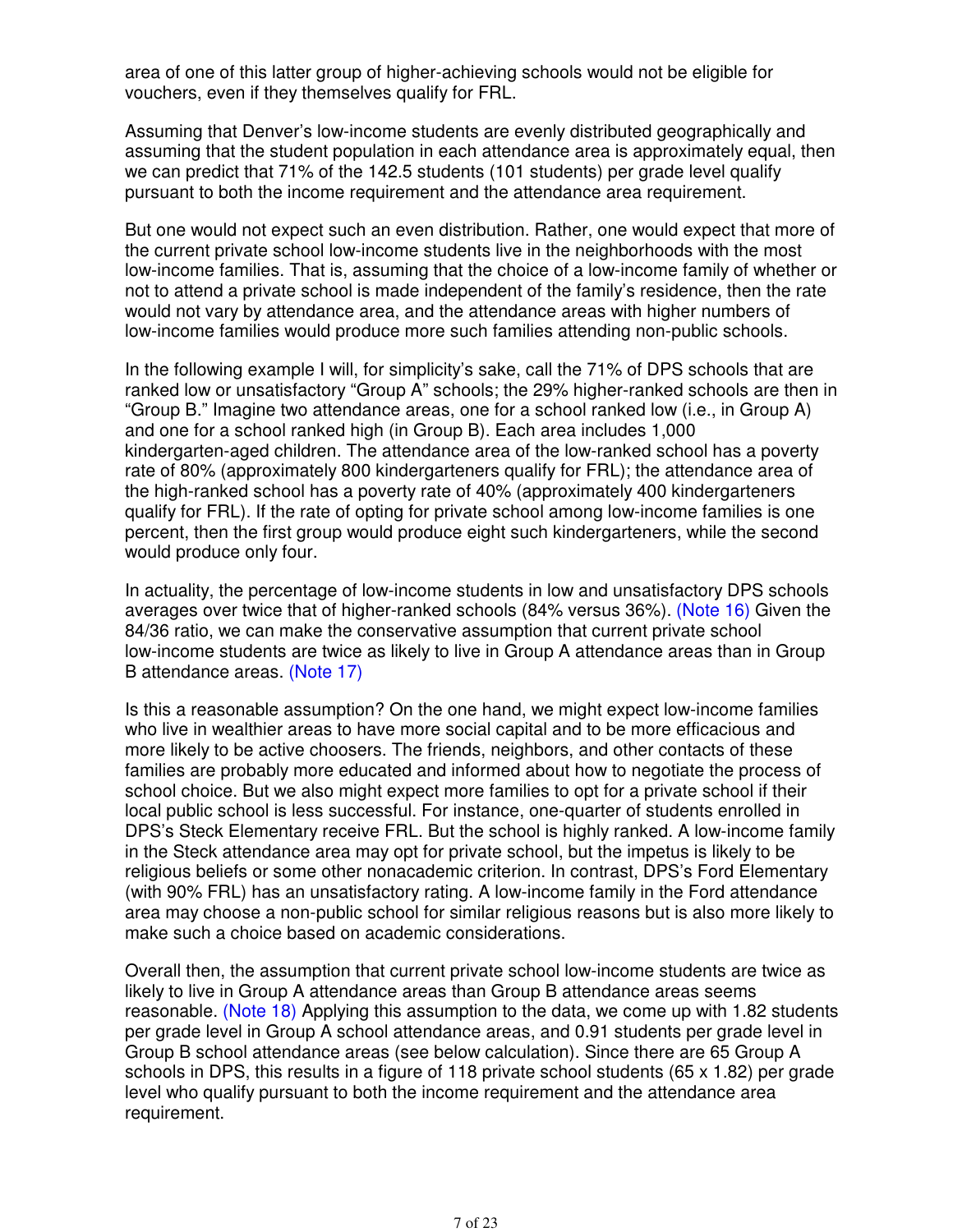area of one of this latter group of higher-achieving schools would not be eligible for vouchers, even if they themselves qualify for FRL.

Assuming that Denver's low-income students are evenly distributed geographically and assuming that the student population in each attendance area is approximately equal, then we can predict that 71% of the 142.5 students (101 students) per grade level qualify pursuant to both the income requirement and the attendance area requirement.

But one would not expect such an even distribution. Rather, one would expect that more of the current private school low-income students live in the neighborhoods with the most low-income families. That is, assuming that the choice of a low-income family of whether or not to attend a private school is made independent of the family's residence, then the rate would not vary by attendance area, and the attendance areas with higher numbers of low-income families would produce more such families attending non-public schools.

In the following example I will, for simplicity's sake, call the 71% of DPS schools that are ranked low or unsatisfactory "Group A" schools; the 29% higher-ranked schools are then in "Group B." Imagine two attendance areas, one for a school ranked low (i.e., in Group A) and one for a school ranked high (in Group B). Each area includes 1,000 kindergarten-aged children. The attendance area of the low-ranked school has a poverty rate of 80% (approximately 800 kindergarteners qualify for FRL); the attendance area of the high-ranked school has a poverty rate of 40% (approximately 400 kindergarteners qualify for FRL). If the rate of opting for private school among low-income families is one percent, then the first group would produce eight such kindergarteners, while the second would produce only four.

In actuality, the percentage of low-income students in low and unsatisfactory DPS schools averages over twice that of higher-ranked schools (84% versus 36%). (Note 16) Given the 84/36 ratio, we can make the conservative assumption that current private school low-income students are twice as likely to live in Group A attendance areas than in Group B attendance areas. (Note 17)

Is this a reasonable assumption? On the one hand, we might expect low-income families who live in wealthier areas to have more social capital and to be more efficacious and more likely to be active choosers. The friends, neighbors, and other contacts of these families are probably more educated and informed about how to negotiate the process of school choice. But we also might expect more families to opt for a private school if their local public school is less successful. For instance, one-quarter of students enrolled in DPS's Steck Elementary receive FRL. But the school is highly ranked. A low-income family in the Steck attendance area may opt for private school, but the impetus is likely to be religious beliefs or some other nonacademic criterion. In contrast, DPS's Ford Elementary (with 90% FRL) has an unsatisfactory rating. A low-income family in the Ford attendance area may choose a non-public school for similar religious reasons but is also more likely to make such a choice based on academic considerations.

Overall then, the assumption that current private school low-income students are twice as likely to live in Group A attendance areas than Group B attendance areas seems reasonable. (Note 18) Applying this assumption to the data, we come up with 1.82 students per grade level in Group A school attendance areas, and 0.91 students per grade level in Group B school attendance areas (see below calculation). Since there are 65 Group A schools in DPS, this results in a figure of 118 private school students (65 x 1.82) per grade level who qualify pursuant to both the income requirement and the attendance area requirement.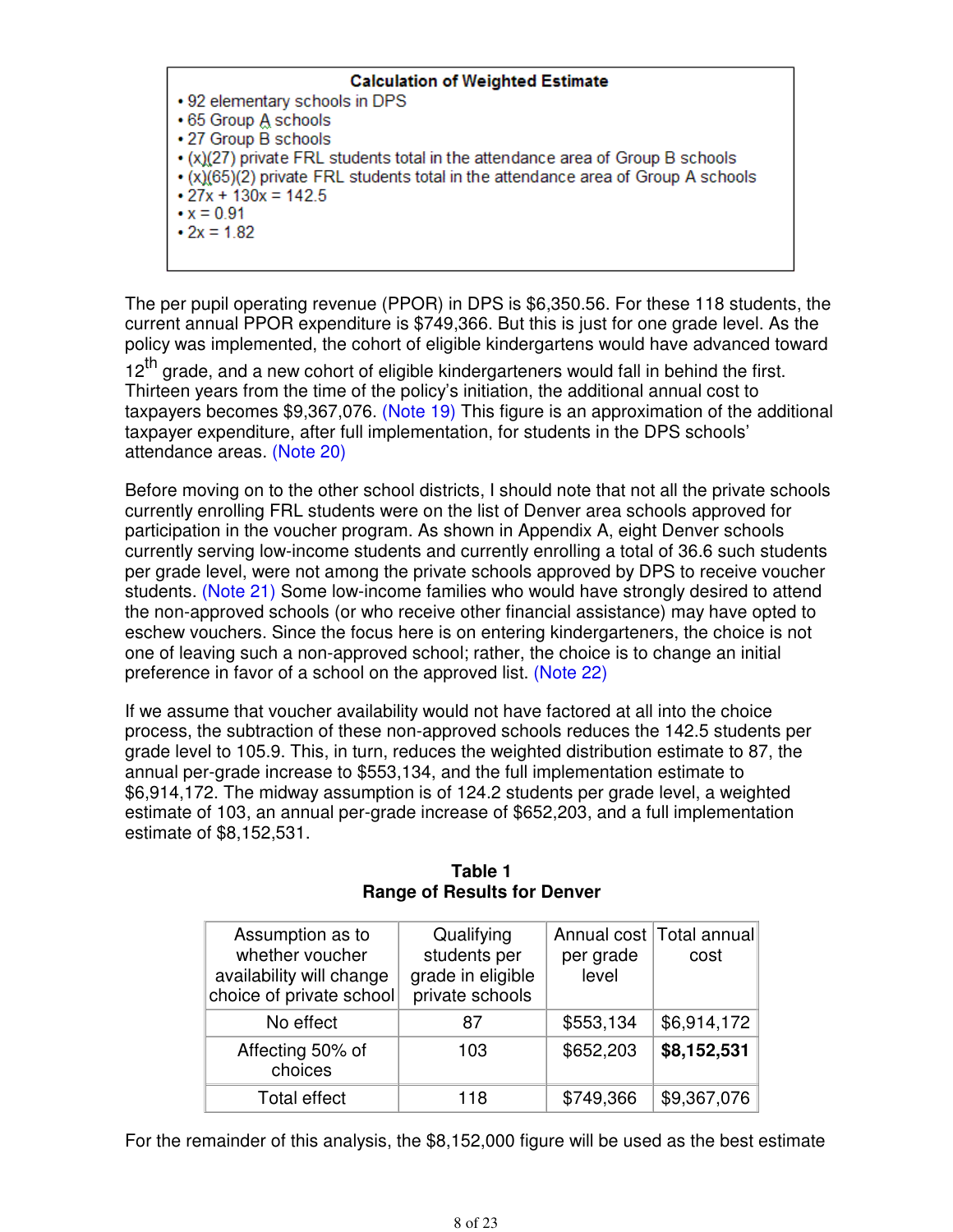#### **Calculation of Weighted Estimate**

- 92 elementary schools in DPS
- 65 Group A schools
- 27 Group B schools
- (x)(27) private FRL students total in the attendance area of Group B schools
- $\cdot$  (x)(65)(2) private FRL students total in the attendance area of Group A schools
- $\cdot$  27x + 130x = 142.5
- $\bullet x = 0.91$
- $\bullet$  2x = 1.82

The per pupil operating revenue (PPOR) in DPS is \$6,350.56. For these 118 students, the current annual PPOR expenditure is \$749,366. But this is just for one grade level. As the policy was implemented, the cohort of eligible kindergartens would have advanced toward

12<sup>th</sup> grade, and a new cohort of eligible kindergarteners would fall in behind the first. Thirteen years from the time of the policy's initiation, the additional annual cost to taxpayers becomes \$9,367,076. (Note 19) This figure is an approximation of the additional taxpayer expenditure, after full implementation, for students in the DPS schools' attendance areas. (Note 20)

Before moving on to the other school districts, I should note that not all the private schools currently enrolling FRL students were on the list of Denver area schools approved for participation in the voucher program. As shown in Appendix A, eight Denver schools currently serving low-income students and currently enrolling a total of 36.6 such students per grade level, were not among the private schools approved by DPS to receive voucher students. (Note 21) Some low-income families who would have strongly desired to attend the non-approved schools (or who receive other financial assistance) may have opted to eschew vouchers. Since the focus here is on entering kindergarteners, the choice is not one of leaving such a non-approved school; rather, the choice is to change an initial preference in favor of a school on the approved list. (Note 22)

If we assume that voucher availability would not have factored at all into the choice process, the subtraction of these non-approved schools reduces the 142.5 students per grade level to 105.9. This, in turn, reduces the weighted distribution estimate to 87, the annual per-grade increase to \$553,134, and the full implementation estimate to \$6,914,172. The midway assumption is of 124.2 students per grade level, a weighted estimate of 103, an annual per-grade increase of \$652,203, and a full implementation estimate of \$8,152,531.

| Assumption as to<br>whether voucher<br>availability will change<br>choice of private school | Qualifying<br>students per<br>grade in eligible<br>private schools | per grade<br>level | Annual cost   Total annual<br>cost |
|---------------------------------------------------------------------------------------------|--------------------------------------------------------------------|--------------------|------------------------------------|
| No effect                                                                                   | 87                                                                 | \$553,134          | \$6,914,172                        |
| Affecting 50% of<br>choices                                                                 | 103                                                                | \$652,203          | \$8,152,531                        |
| <b>Total effect</b>                                                                         | 118                                                                | \$749,366          | \$9,367,076                        |

#### **Table 1 Range of Results for Denver**

For the remainder of this analysis, the \$8,152,000 figure will be used as the best estimate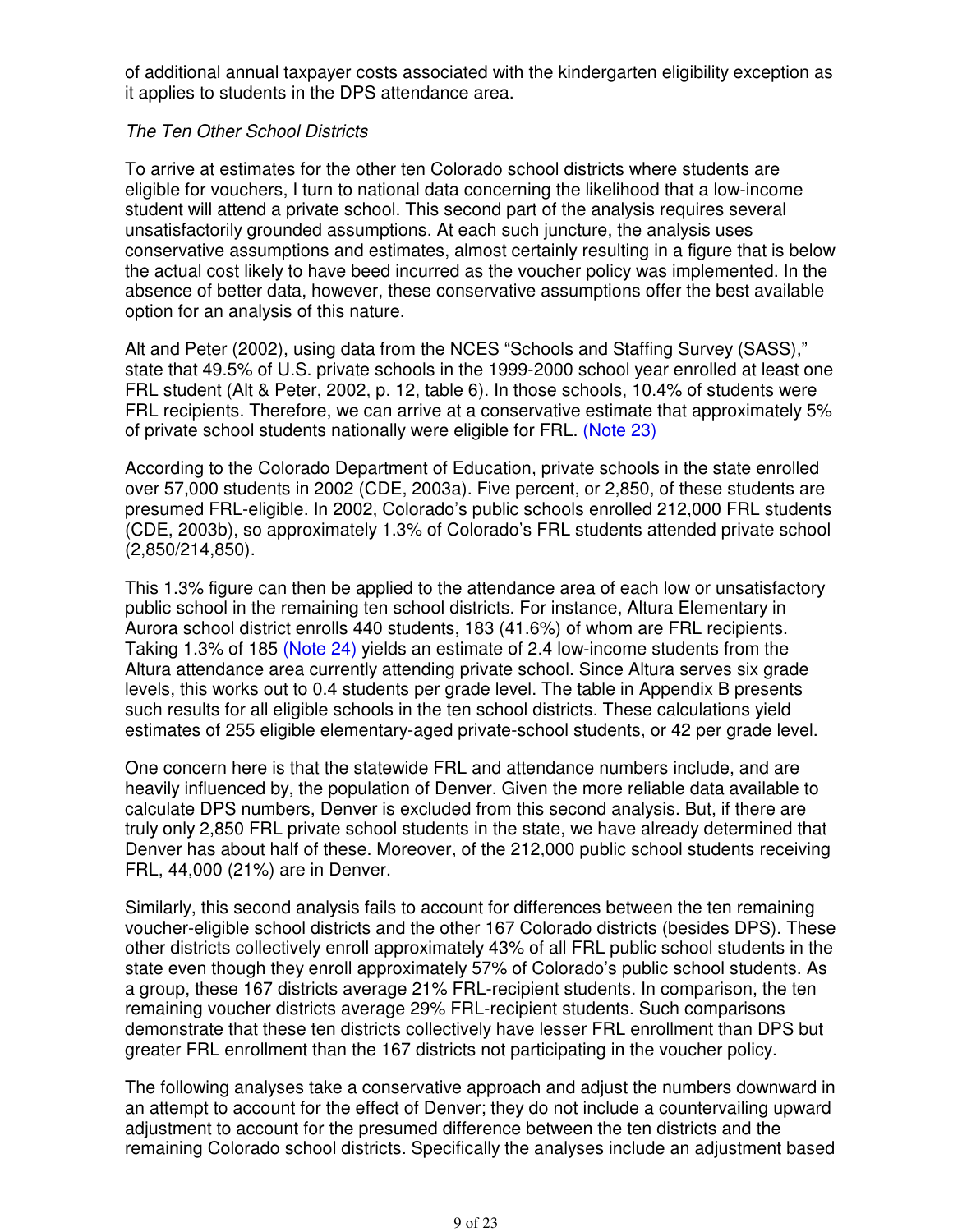of additional annual taxpayer costs associated with the kindergarten eligibility exception as it applies to students in the DPS attendance area.

### The Ten Other School Districts

To arrive at estimates for the other ten Colorado school districts where students are eligible for vouchers, I turn to national data concerning the likelihood that a low-income student will attend a private school. This second part of the analysis requires several unsatisfactorily grounded assumptions. At each such juncture, the analysis uses conservative assumptions and estimates, almost certainly resulting in a figure that is below the actual cost likely to have beed incurred as the voucher policy was implemented. In the absence of better data, however, these conservative assumptions offer the best available option for an analysis of this nature.

Alt and Peter (2002), using data from the NCES "Schools and Staffing Survey (SASS)," state that 49.5% of U.S. private schools in the 1999-2000 school year enrolled at least one FRL student (Alt & Peter, 2002, p. 12, table 6). In those schools, 10.4% of students were FRL recipients. Therefore, we can arrive at a conservative estimate that approximately 5% of private school students nationally were eligible for FRL. (Note 23)

According to the Colorado Department of Education, private schools in the state enrolled over 57,000 students in 2002 (CDE, 2003a). Five percent, or 2,850, of these students are presumed FRL-eligible. In 2002, Colorado's public schools enrolled 212,000 FRL students (CDE, 2003b), so approximately 1.3% of Colorado's FRL students attended private school (2,850/214,850).

This 1.3% figure can then be applied to the attendance area of each low or unsatisfactory public school in the remaining ten school districts. For instance, Altura Elementary in Aurora school district enrolls 440 students, 183 (41.6%) of whom are FRL recipients. Taking 1.3% of 185 (Note 24) yields an estimate of 2.4 low-income students from the Altura attendance area currently attending private school. Since Altura serves six grade levels, this works out to 0.4 students per grade level. The table in Appendix B presents such results for all eligible schools in the ten school districts. These calculations yield estimates of 255 eligible elementary-aged private-school students, or 42 per grade level.

One concern here is that the statewide FRL and attendance numbers include, and are heavily influenced by, the population of Denver. Given the more reliable data available to calculate DPS numbers, Denver is excluded from this second analysis. But, if there are truly only 2,850 FRL private school students in the state, we have already determined that Denver has about half of these. Moreover, of the 212,000 public school students receiving FRL, 44,000 (21%) are in Denver.

Similarly, this second analysis fails to account for differences between the ten remaining voucher-eligible school districts and the other 167 Colorado districts (besides DPS). These other districts collectively enroll approximately 43% of all FRL public school students in the state even though they enroll approximately 57% of Colorado's public school students. As a group, these 167 districts average 21% FRL-recipient students. In comparison, the ten remaining voucher districts average 29% FRL-recipient students. Such comparisons demonstrate that these ten districts collectively have lesser FRL enrollment than DPS but greater FRL enrollment than the 167 districts not participating in the voucher policy.

The following analyses take a conservative approach and adjust the numbers downward in an attempt to account for the effect of Denver; they do not include a countervailing upward adjustment to account for the presumed difference between the ten districts and the remaining Colorado school districts. Specifically the analyses include an adjustment based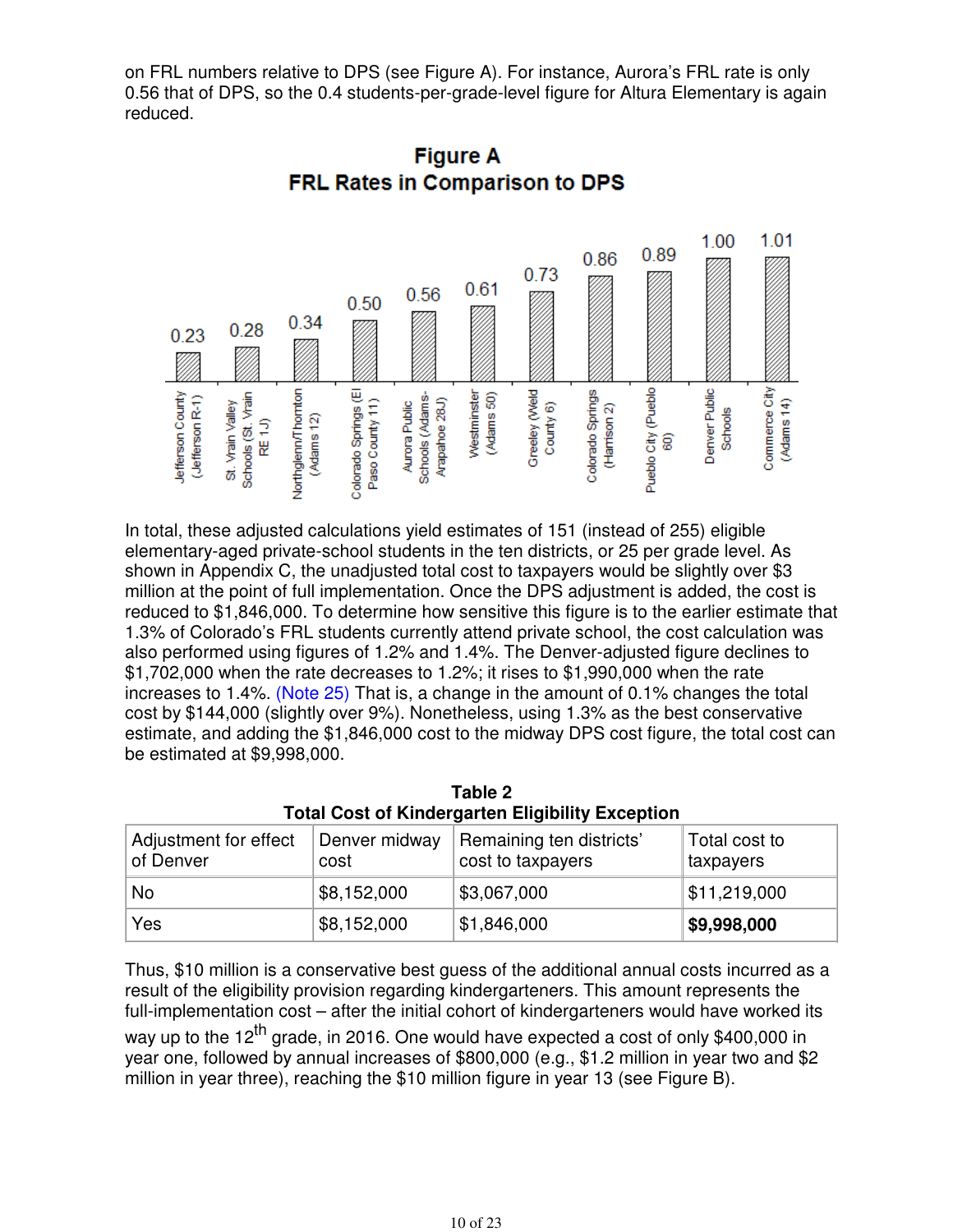on FRL numbers relative to DPS (see Figure A). For instance, Aurora's FRL rate is only 0.56 that of DPS, so the 0.4 students-per-grade-level figure for Altura Elementary is again reduced.



# **Figure A** FRL Rates in Comparison to DPS

In total, these adjusted calculations yield estimates of 151 (instead of 255) eligible elementary-aged private-school students in the ten districts, or 25 per grade level. As shown in Appendix C, the unadjusted total cost to taxpayers would be slightly over \$3 million at the point of full implementation. Once the DPS adjustment is added, the cost is reduced to \$1,846,000. To determine how sensitive this figure is to the earlier estimate that 1.3% of Colorado's FRL students currently attend private school, the cost calculation was also performed using figures of 1.2% and 1.4%. The Denver-adjusted figure declines to \$1,702,000 when the rate decreases to 1.2%; it rises to \$1,990,000 when the rate increases to 1.4%. (Note 25) That is, a change in the amount of 0.1% changes the total cost by \$144,000 (slightly over 9%). Nonetheless, using 1.3% as the best conservative estimate, and adding the \$1,846,000 cost to the midway DPS cost figure, the total cost can be estimated at \$9,998,000.

|  | Table 2                                                                |       |
|--|------------------------------------------------------------------------|-------|
|  | <b>Total Cost of Kindergarten Eligibility Exception</b>                |       |
|  | $\alpha$ r affect $\Box$ Denver midway $\Box$ Remaining ten districts' | Total |

| Adjustment for effect<br>of Denver | Denver midway<br>cost | Remaining ten districts'<br>cost to taxpayers | Total cost to<br>taxpayers |
|------------------------------------|-----------------------|-----------------------------------------------|----------------------------|
| No.                                | \$8,152,000           | \$3,067,000                                   | \$11,219,000               |
| Yes                                | \$8,152,000           | \$1,846,000                                   | \$9,998,000                |

Thus, \$10 million is a conservative best guess of the additional annual costs incurred as a result of the eligibility provision regarding kindergarteners. This amount represents the full-implementation cost – after the initial cohort of kindergarteners would have worked its

way up to the 12<sup>th</sup> grade, in 2016. One would have expected a cost of only \$400,000 in year one, followed by annual increases of \$800,000 (e.g., \$1.2 million in year two and \$2 million in year three), reaching the \$10 million figure in year 13 (see Figure B).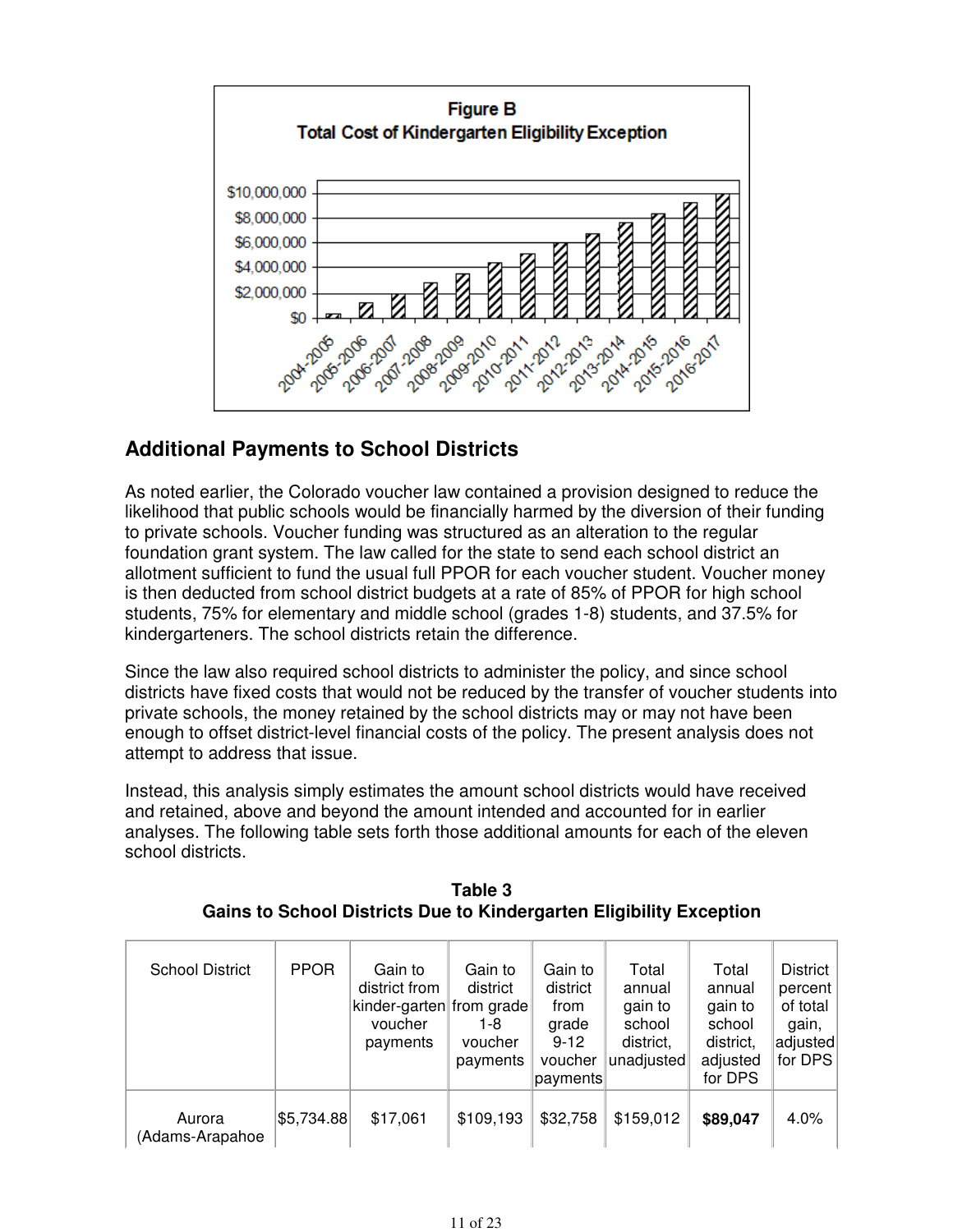

# **Additional Payments to School Districts**

As noted earlier, the Colorado voucher law contained a provision designed to reduce the likelihood that public schools would be financially harmed by the diversion of their funding to private schools. Voucher funding was structured as an alteration to the regular foundation grant system. The law called for the state to send each school district an allotment sufficient to fund the usual full PPOR for each voucher student. Voucher money is then deducted from school district budgets at a rate of 85% of PPOR for high school students, 75% for elementary and middle school (grades 1-8) students, and 37.5% for kindergarteners. The school districts retain the difference.

Since the law also required school districts to administer the policy, and since school districts have fixed costs that would not be reduced by the transfer of voucher students into private schools, the money retained by the school districts may or may not have been enough to offset district-level financial costs of the policy. The present analysis does not attempt to address that issue.

Instead, this analysis simply estimates the amount school districts would have received and retained, above and beyond the amount intended and accounted for in earlier analyses. The following table sets forth those additional amounts for each of the eleven school districts.

| <b>School District</b>    | <b>PPOR</b> | Gain to<br>district from<br>kinder-garten from grade<br>voucher<br>payments | Gain to<br>district<br>1-8<br>voucher<br>payments | Gain to<br>district<br>from<br>grade<br>$9 - 12$<br>voucher<br>payments | Total<br>annual<br>gain to<br>school<br>district,<br>unadjusted | Total<br>annual<br>gain to<br>school<br>district,<br>adjusted<br>for DPS | <b>District</b><br>percent<br>of total<br>gain,<br>adjusted<br>for DPS |
|---------------------------|-------------|-----------------------------------------------------------------------------|---------------------------------------------------|-------------------------------------------------------------------------|-----------------------------------------------------------------|--------------------------------------------------------------------------|------------------------------------------------------------------------|
| Aurora<br>(Adams-Arapahoe | \$5,734.88  | \$17,061                                                                    | \$109,193                                         | \$32,758                                                                | \$159,012                                                       | \$89,047                                                                 | 4.0%                                                                   |

**Table 3 Gains to School Districts Due to Kindergarten Eligibility Exception**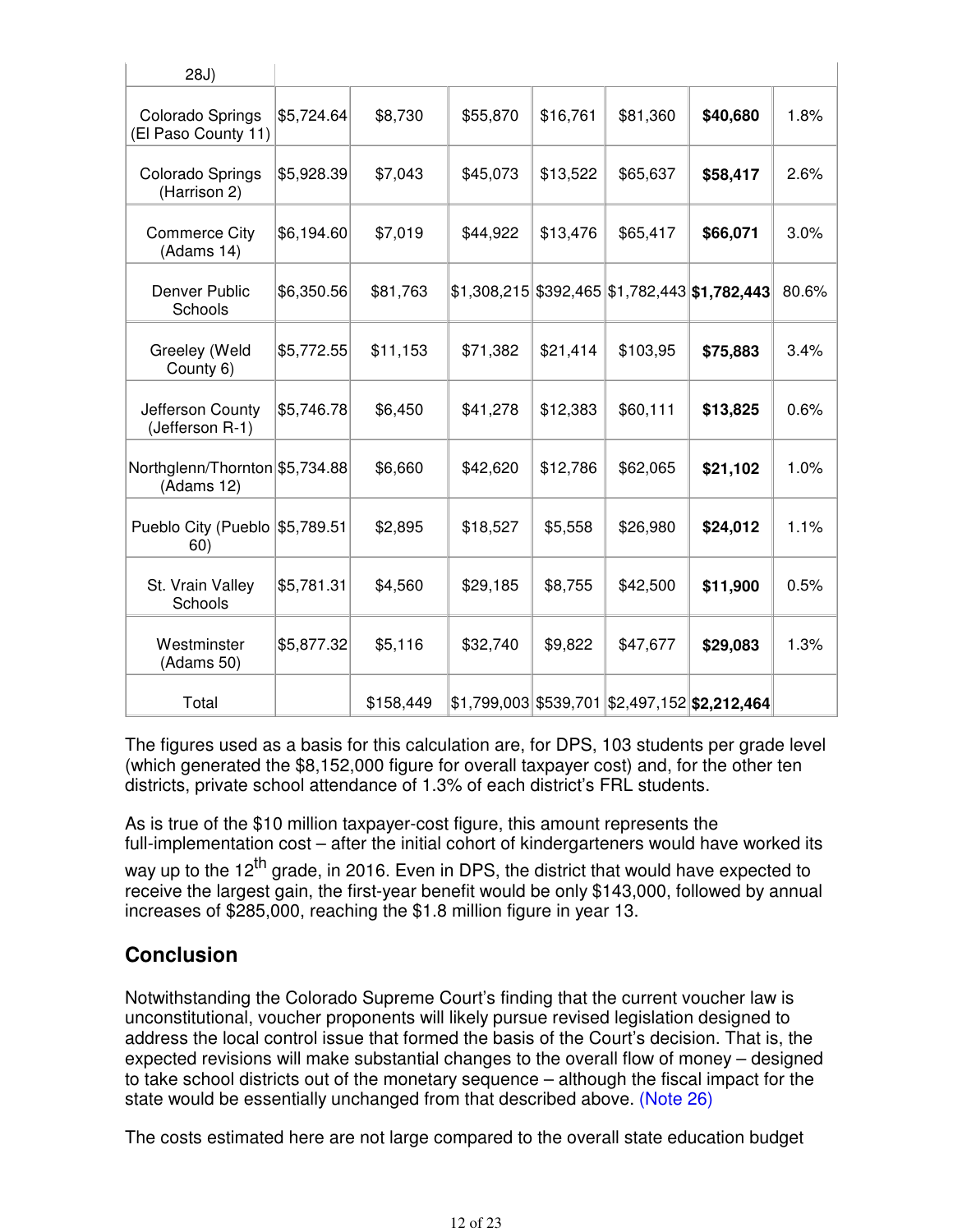| 28J)                                         |            |           |          |          |          |                                                      |         |
|----------------------------------------------|------------|-----------|----------|----------|----------|------------------------------------------------------|---------|
| Colorado Springs<br>(El Paso County 11)      | \$5,724.64 | \$8,730   | \$55,870 | \$16,761 | \$81,360 | \$40,680                                             | 1.8%    |
| Colorado Springs<br>(Harrison 2)             | \$5,928.39 | \$7,043   | \$45,073 | \$13,522 | \$65,637 | \$58,417                                             | 2.6%    |
| <b>Commerce City</b><br>(Adams 14)           | \$6,194.60 | \$7,019   | \$44,922 | \$13,476 | \$65,417 | \$66,071                                             | $3.0\%$ |
| Denver Public<br>Schools                     | \$6,350.56 | \$81,763  |          |          |          | \$1,308,215 \$392,465 \$1,782,443 \$1,782,443        | 80.6%   |
| Greeley (Weld<br>County 6)                   | \$5,772.55 | \$11,153  | \$71,382 | \$21,414 | \$103,95 | \$75,883                                             | 3.4%    |
| Jefferson County<br>(Jefferson R-1)          | \$5,746.78 | \$6,450   | \$41,278 | \$12,383 | \$60,111 | \$13,825                                             | 0.6%    |
| Northglenn/Thornton \$5,734.88<br>(Adams 12) |            | \$6,660   | \$42,620 | \$12,786 | \$62,065 | \$21,102                                             | 1.0%    |
| Pueblo City (Pueblo \$5,789.51<br>60)        |            | \$2,895   | \$18,527 | \$5,558  | \$26,980 | \$24,012                                             | 1.1%    |
| St. Vrain Valley<br>Schools                  | \$5,781.31 | \$4,560   | \$29,185 | \$8,755  | \$42,500 | \$11,900                                             | 0.5%    |
| Westminster<br>(Adams 50)                    | \$5,877.32 | \$5,116   | \$32,740 | \$9,822  | \$47,677 | \$29,083                                             | 1.3%    |
| Total                                        |            | \$158,449 |          |          |          | \$1,799,003 \$539,701 \$2,497,152 <b>\$2,212,464</b> |         |

The figures used as a basis for this calculation are, for DPS, 103 students per grade level (which generated the \$8,152,000 figure for overall taxpayer cost) and, for the other ten districts, private school attendance of 1.3% of each district's FRL students.

As is true of the \$10 million taxpayer-cost figure, this amount represents the full-implementation cost – after the initial cohort of kindergarteners would have worked its way up to the  $12<sup>th</sup>$  grade, in 2016. Even in DPS, the district that would have expected to receive the largest gain, the first-year benefit would be only \$143,000, followed by annual increases of \$285,000, reaching the \$1.8 million figure in year 13.

# **Conclusion**

Notwithstanding the Colorado Supreme Court's finding that the current voucher law is unconstitutional, voucher proponents will likely pursue revised legislation designed to address the local control issue that formed the basis of the Court's decision. That is, the expected revisions will make substantial changes to the overall flow of money – designed to take school districts out of the monetary sequence – although the fiscal impact for the state would be essentially unchanged from that described above. (Note 26)

The costs estimated here are not large compared to the overall state education budget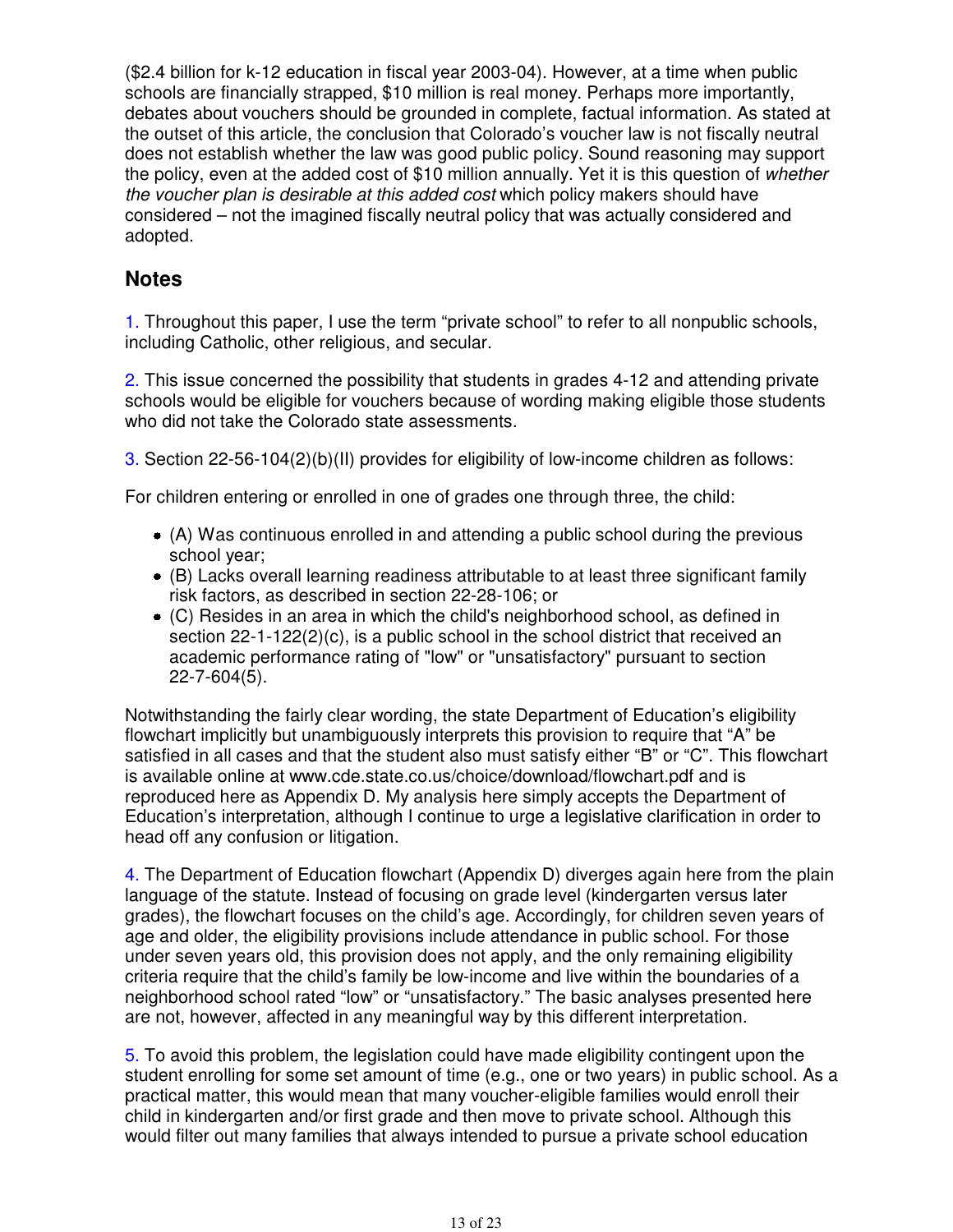(\$2.4 billion for k-12 education in fiscal year 2003-04). However, at a time when public schools are financially strapped, \$10 million is real money. Perhaps more importantly, debates about vouchers should be grounded in complete, factual information. As stated at the outset of this article, the conclusion that Colorado's voucher law is not fiscally neutral does not establish whether the law was good public policy. Sound reasoning may support the policy, even at the added cost of \$10 million annually. Yet it is this question of whether the voucher plan is desirable at this added cost which policy makers should have considered – not the imagined fiscally neutral policy that was actually considered and adopted.

# **Notes**

1. Throughout this paper, I use the term "private school" to refer to all nonpublic schools, including Catholic, other religious, and secular.

2. This issue concerned the possibility that students in grades 4-12 and attending private schools would be eligible for vouchers because of wording making eligible those students who did not take the Colorado state assessments.

3. Section 22-56-104(2)(b)(II) provides for eligibility of low-income children as follows:

For children entering or enrolled in one of grades one through three, the child:

- (A) Was continuous enrolled in and attending a public school during the previous school year;
- (B) Lacks overall learning readiness attributable to at least three significant family risk factors, as described in section 22-28-106; or
- (C) Resides in an area in which the child's neighborhood school, as defined in section 22-1-122(2)(c), is a public school in the school district that received an academic performance rating of "low" or "unsatisfactory" pursuant to section 22-7-604(5).

Notwithstanding the fairly clear wording, the state Department of Education's eligibility flowchart implicitly but unambiguously interprets this provision to require that "A" be satisfied in all cases and that the student also must satisfy either "B" or "C". This flowchart is available online at www.cde.state.co.us/choice/download/flowchart.pdf and is reproduced here as Appendix D. My analysis here simply accepts the Department of Education's interpretation, although I continue to urge a legislative clarification in order to head off any confusion or litigation.

4. The Department of Education flowchart (Appendix D) diverges again here from the plain language of the statute. Instead of focusing on grade level (kindergarten versus later grades), the flowchart focuses on the child's age. Accordingly, for children seven years of age and older, the eligibility provisions include attendance in public school. For those under seven years old, this provision does not apply, and the only remaining eligibility criteria require that the child's family be low-income and live within the boundaries of a neighborhood school rated "low" or "unsatisfactory." The basic analyses presented here are not, however, affected in any meaningful way by this different interpretation.

5. To avoid this problem, the legislation could have made eligibility contingent upon the student enrolling for some set amount of time (e.g., one or two years) in public school. As a practical matter, this would mean that many voucher-eligible families would enroll their child in kindergarten and/or first grade and then move to private school. Although this would filter out many families that always intended to pursue a private school education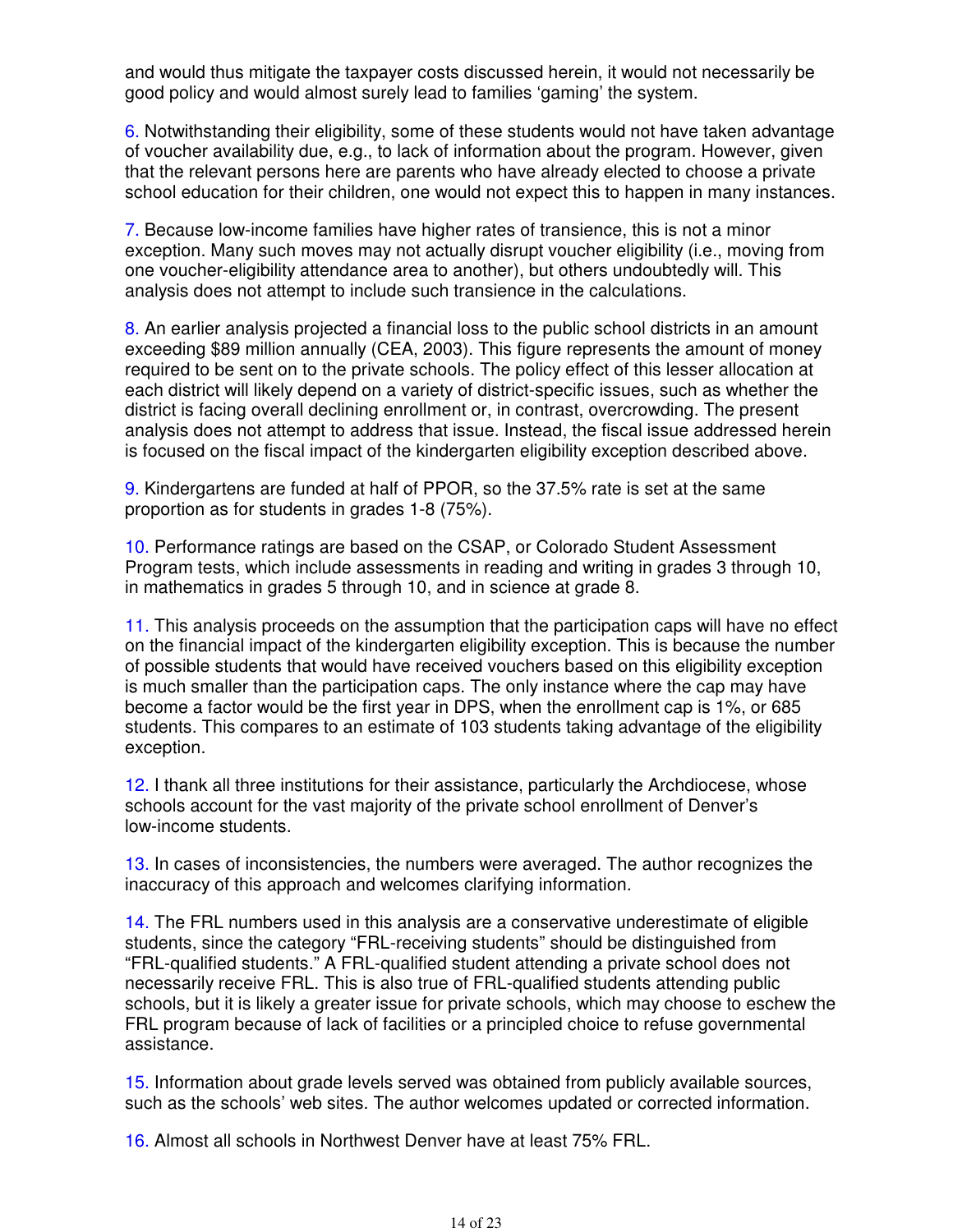and would thus mitigate the taxpayer costs discussed herein, it would not necessarily be good policy and would almost surely lead to families 'gaming' the system.

6. Notwithstanding their eligibility, some of these students would not have taken advantage of voucher availability due, e.g., to lack of information about the program. However, given that the relevant persons here are parents who have already elected to choose a private school education for their children, one would not expect this to happen in many instances.

7. Because low-income families have higher rates of transience, this is not a minor exception. Many such moves may not actually disrupt voucher eligibility (i.e., moving from one voucher-eligibility attendance area to another), but others undoubtedly will. This analysis does not attempt to include such transience in the calculations.

8. An earlier analysis projected a financial loss to the public school districts in an amount exceeding \$89 million annually (CEA, 2003). This figure represents the amount of money required to be sent on to the private schools. The policy effect of this lesser allocation at each district will likely depend on a variety of district-specific issues, such as whether the district is facing overall declining enrollment or, in contrast, overcrowding. The present analysis does not attempt to address that issue. Instead, the fiscal issue addressed herein is focused on the fiscal impact of the kindergarten eligibility exception described above.

9. Kindergartens are funded at half of PPOR, so the 37.5% rate is set at the same proportion as for students in grades 1-8 (75%).

10. Performance ratings are based on the CSAP, or Colorado Student Assessment Program tests, which include assessments in reading and writing in grades 3 through 10, in mathematics in grades 5 through 10, and in science at grade 8.

11. This analysis proceeds on the assumption that the participation caps will have no effect on the financial impact of the kindergarten eligibility exception. This is because the number of possible students that would have received vouchers based on this eligibility exception is much smaller than the participation caps. The only instance where the cap may have become a factor would be the first year in DPS, when the enrollment cap is 1%, or 685 students. This compares to an estimate of 103 students taking advantage of the eligibility exception.

12. I thank all three institutions for their assistance, particularly the Archdiocese, whose schools account for the vast majority of the private school enrollment of Denver's low-income students.

13. In cases of inconsistencies, the numbers were averaged. The author recognizes the inaccuracy of this approach and welcomes clarifying information.

14. The FRL numbers used in this analysis are a conservative underestimate of eligible students, since the category "FRL-receiving students" should be distinguished from "FRL-qualified students." A FRL-qualified student attending a private school does not necessarily receive FRL. This is also true of FRL-qualified students attending public schools, but it is likely a greater issue for private schools, which may choose to eschew the FRL program because of lack of facilities or a principled choice to refuse governmental assistance.

15. Information about grade levels served was obtained from publicly available sources, such as the schools' web sites. The author welcomes updated or corrected information.

16. Almost all schools in Northwest Denver have at least 75% FRL.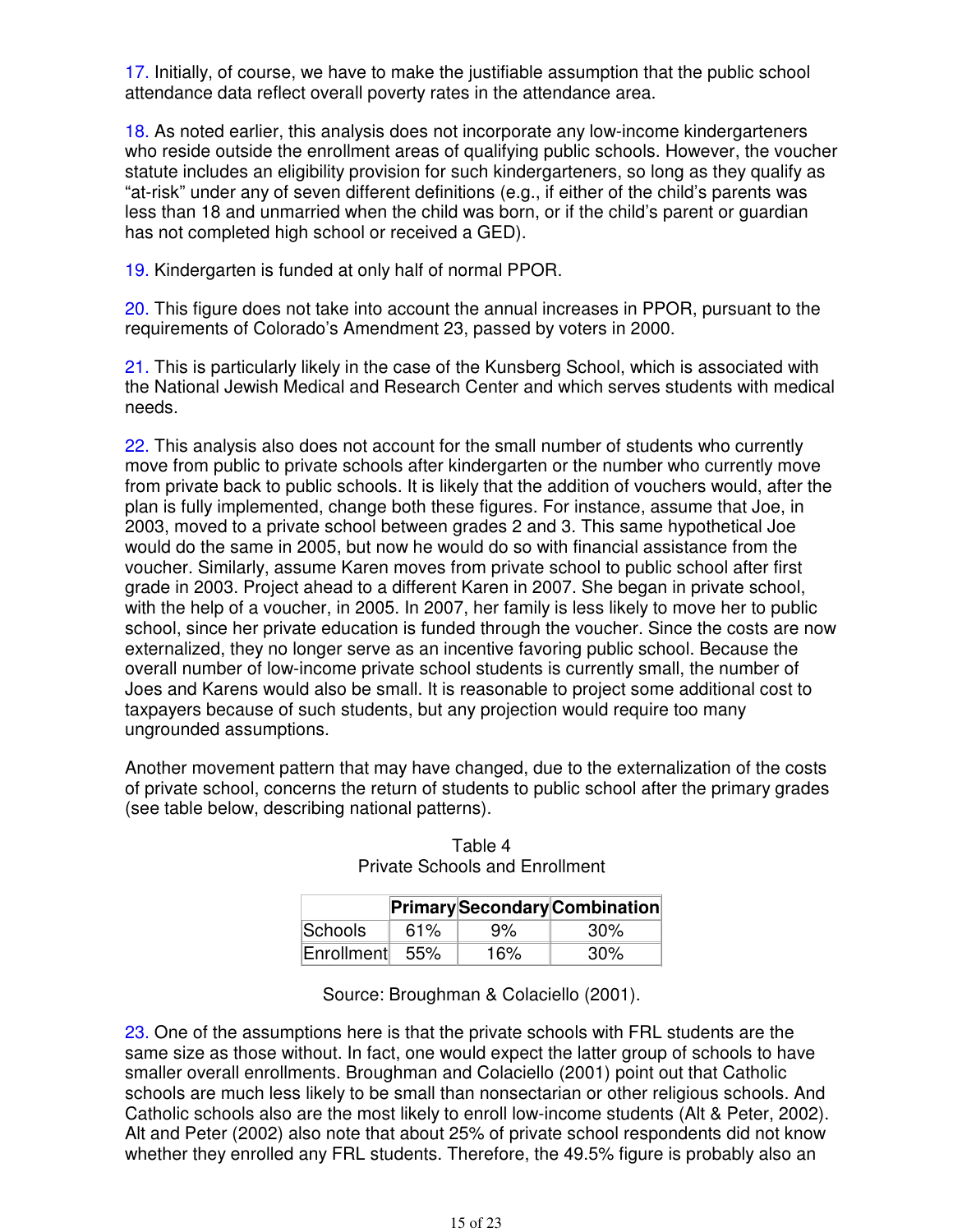17. Initially, of course, we have to make the justifiable assumption that the public school attendance data reflect overall poverty rates in the attendance area.

18. As noted earlier, this analysis does not incorporate any low-income kindergarteners who reside outside the enrollment areas of qualifying public schools. However, the voucher statute includes an eligibility provision for such kindergarteners, so long as they qualify as "at-risk" under any of seven different definitions (e.g., if either of the child's parents was less than 18 and unmarried when the child was born, or if the child's parent or guardian has not completed high school or received a GED).

19. Kindergarten is funded at only half of normal PPOR.

20. This figure does not take into account the annual increases in PPOR, pursuant to the requirements of Colorado's Amendment 23, passed by voters in 2000.

21. This is particularly likely in the case of the Kunsberg School, which is associated with the National Jewish Medical and Research Center and which serves students with medical needs.

22. This analysis also does not account for the small number of students who currently move from public to private schools after kindergarten or the number who currently move from private back to public schools. It is likely that the addition of vouchers would, after the plan is fully implemented, change both these figures. For instance, assume that Joe, in 2003, moved to a private school between grades 2 and 3. This same hypothetical Joe would do the same in 2005, but now he would do so with financial assistance from the voucher. Similarly, assume Karen moves from private school to public school after first grade in 2003. Project ahead to a different Karen in 2007. She began in private school, with the help of a voucher, in 2005. In 2007, her family is less likely to move her to public school, since her private education is funded through the voucher. Since the costs are now externalized, they no longer serve as an incentive favoring public school. Because the overall number of low-income private school students is currently small, the number of Joes and Karens would also be small. It is reasonable to project some additional cost to taxpayers because of such students, but any projection would require too many ungrounded assumptions.

Another movement pattern that may have changed, due to the externalization of the costs of private school, concerns the return of students to public school after the primary grades (see table below, describing national patterns).

|                |     |     | <b>Primary Secondary Combination</b> |
|----------------|-----|-----|--------------------------------------|
| Schools        | 61% | 9%  | 30%                                  |
| Enrollment 55% |     | 16% | 30%                                  |

### Table 4 Private Schools and Enrollment

Source: Broughman & Colaciello (2001).

23. One of the assumptions here is that the private schools with FRL students are the same size as those without. In fact, one would expect the latter group of schools to have smaller overall enrollments. Broughman and Colaciello (2001) point out that Catholic schools are much less likely to be small than nonsectarian or other religious schools. And Catholic schools also are the most likely to enroll low-income students (Alt & Peter, 2002). Alt and Peter (2002) also note that about 25% of private school respondents did not know whether they enrolled any FRL students. Therefore, the 49.5% figure is probably also an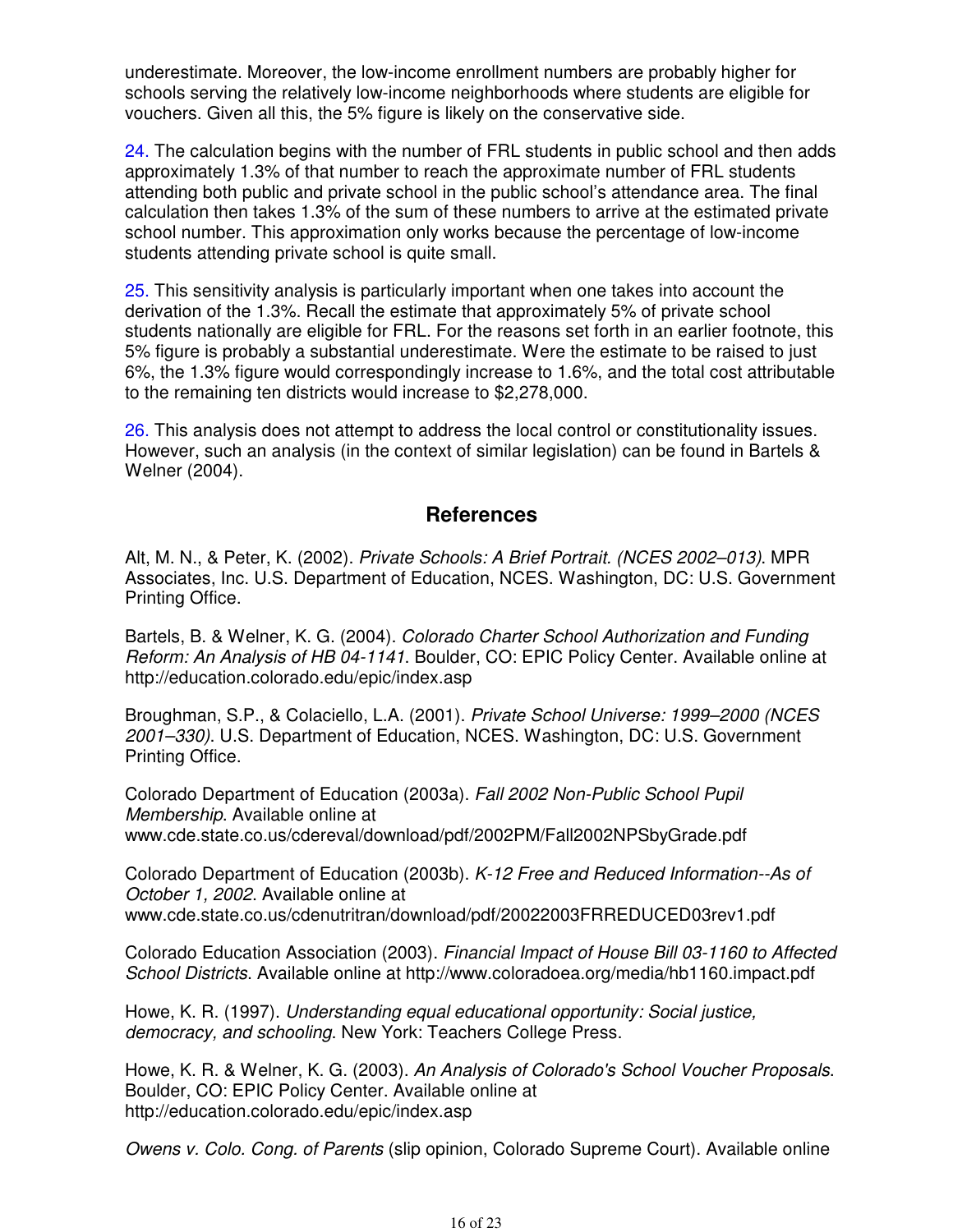underestimate. Moreover, the low-income enrollment numbers are probably higher for schools serving the relatively low-income neighborhoods where students are eligible for vouchers. Given all this, the 5% figure is likely on the conservative side.

24. The calculation begins with the number of FRL students in public school and then adds approximately 1.3% of that number to reach the approximate number of FRL students attending both public and private school in the public school's attendance area. The final calculation then takes 1.3% of the sum of these numbers to arrive at the estimated private school number. This approximation only works because the percentage of low-income students attending private school is quite small.

25. This sensitivity analysis is particularly important when one takes into account the derivation of the 1.3%. Recall the estimate that approximately 5% of private school students nationally are eligible for FRL. For the reasons set forth in an earlier footnote, this 5% figure is probably a substantial underestimate. Were the estimate to be raised to just 6%, the 1.3% figure would correspondingly increase to 1.6%, and the total cost attributable to the remaining ten districts would increase to \$2,278,000.

26. This analysis does not attempt to address the local control or constitutionality issues. However, such an analysis (in the context of similar legislation) can be found in Bartels & Welner (2004).

### **References**

Alt, M. N., & Peter, K. (2002). Private Schools: A Brief Portrait. (NCES 2002–013). MPR Associates, Inc. U.S. Department of Education, NCES. Washington, DC: U.S. Government Printing Office.

Bartels, B. & Welner, K. G. (2004). Colorado Charter School Authorization and Funding Reform: An Analysis of HB 04-1141. Boulder, CO: EPIC Policy Center. Available online at http://education.colorado.edu/epic/index.asp

Broughman, S.P., & Colaciello, L.A. (2001). Private School Universe: 1999–2000 (NCES 2001–330). U.S. Department of Education, NCES. Washington, DC: U.S. Government Printing Office.

Colorado Department of Education (2003a). Fall 2002 Non-Public School Pupil Membership. Available online at www.cde.state.co.us/cdereval/download/pdf/2002PM/Fall2002NPSbyGrade.pdf

Colorado Department of Education (2003b). K-12 Free and Reduced Information--As of October 1, 2002. Available online at www.cde.state.co.us/cdenutritran/download/pdf/20022003FRREDUCED03rev1.pdf

Colorado Education Association (2003). Financial Impact of House Bill 03-1160 to Affected School Districts. Available online at http://www.coloradoea.org/media/hb1160.impact.pdf

Howe, K. R. (1997). Understanding equal educational opportunity: Social justice, democracy, and schooling. New York: Teachers College Press.

Howe, K. R. & Welner, K. G. (2003). An Analysis of Colorado's School Voucher Proposals. Boulder, CO: EPIC Policy Center. Available online at http://education.colorado.edu/epic/index.asp

Owens v. Colo. Cong. of Parents (slip opinion, Colorado Supreme Court). Available online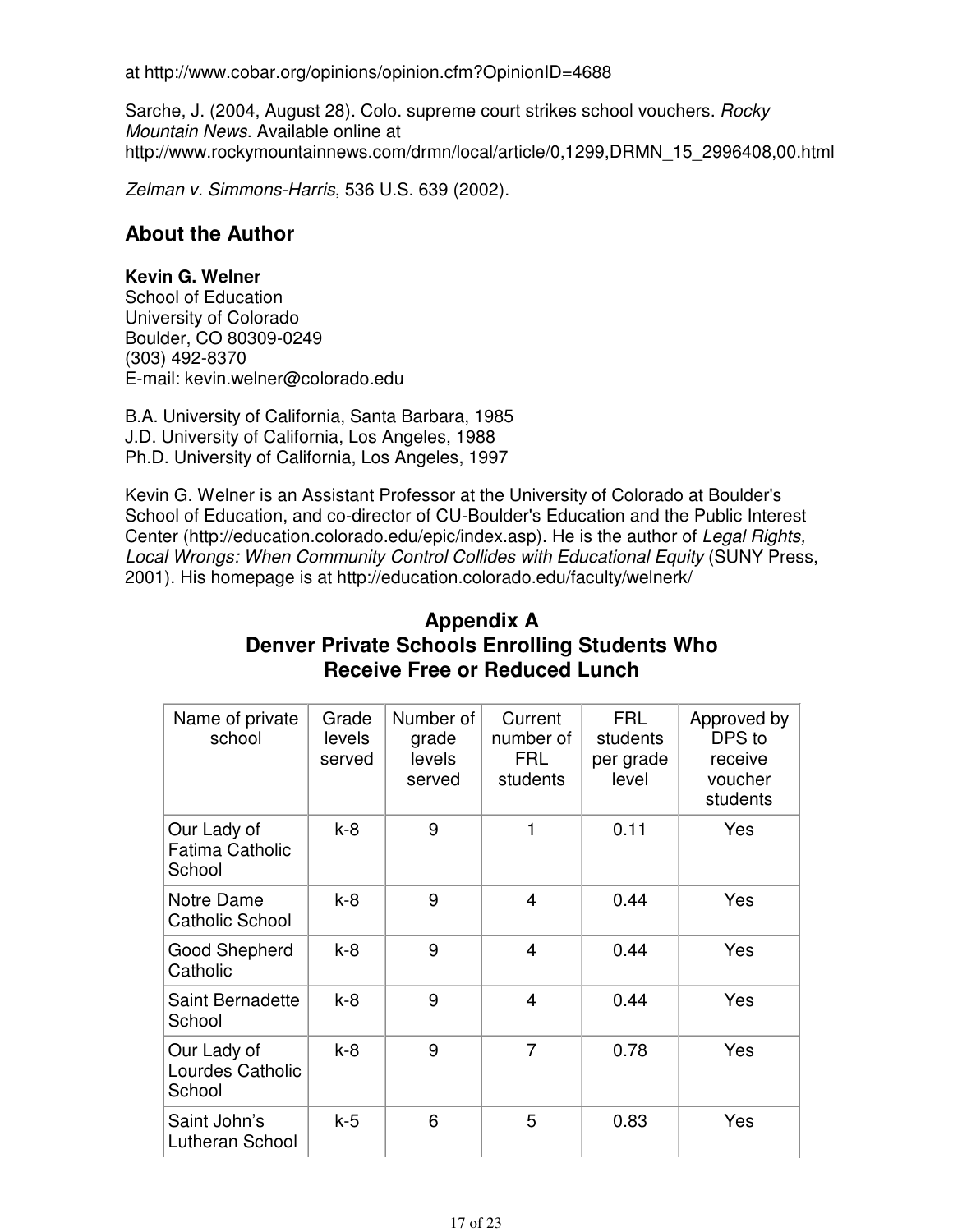at http://www.cobar.org/opinions/opinion.cfm?OpinionID=4688

Sarche, J. (2004, August 28). Colo. supreme court strikes school vouchers. Rocky Mountain News. Available online at http://www.rockymountainnews.com/drmn/local/article/0,1299,DRMN\_15\_2996408,00.html

Zelman v. Simmons-Harris, 536 U.S. 639 (2002).

### **About the Author**

### **Kevin G. Welner**

School of Education University of Colorado Boulder, CO 80309-0249 (303) 492-8370 E-mail: kevin.welner@colorado.edu

B.A. University of California, Santa Barbara, 1985 J.D. University of California, Los Angeles, 1988 Ph.D. University of California, Los Angeles, 1997

Kevin G. Welner is an Assistant Professor at the University of Colorado at Boulder's School of Education, and co-director of CU-Boulder's Education and the Public Interest Center (http://education.colorado.edu/epic/index.asp). He is the author of Legal Rights, Local Wrongs: When Community Control Collides with Educational Equity (SUNY Press, 2001). His homepage is at http://education.colorado.edu/faculty/welnerk/

# **Appendix A Denver Private Schools Enrolling Students Who Receive Free or Reduced Lunch**

| Name of private<br>school                       | Grade<br>levels<br>served | Number of<br>grade<br>levels<br>served | Current<br>number of<br><b>FRL</b><br>students | FRL<br>students<br>per grade<br>level | Approved by<br>DPS to<br>receive<br>voucher<br>students |
|-------------------------------------------------|---------------------------|----------------------------------------|------------------------------------------------|---------------------------------------|---------------------------------------------------------|
| Our Lady of<br><b>Fatima Catholic</b><br>School | $k-8$                     | 9                                      | 1                                              | 0.11                                  | Yes                                                     |
| Notre Dame<br>Catholic School                   | k-8                       | 9                                      | 4                                              | 0.44                                  | Yes                                                     |
| Good Shepherd<br>Catholic                       | $k-8$                     | 9                                      | $\overline{4}$                                 | 0.44                                  | Yes                                                     |
| Saint Bernadette<br>School                      | k-8                       | 9                                      | 4                                              | 0.44                                  | Yes                                                     |
| Our Lady of<br>Lourdes Catholic<br>School       | $k-8$                     | 9                                      | $\overline{7}$                                 | 0.78                                  | Yes                                                     |
| Saint John's<br>Lutheran School                 | $k-5$                     | 6                                      | 5                                              | 0.83                                  | Yes                                                     |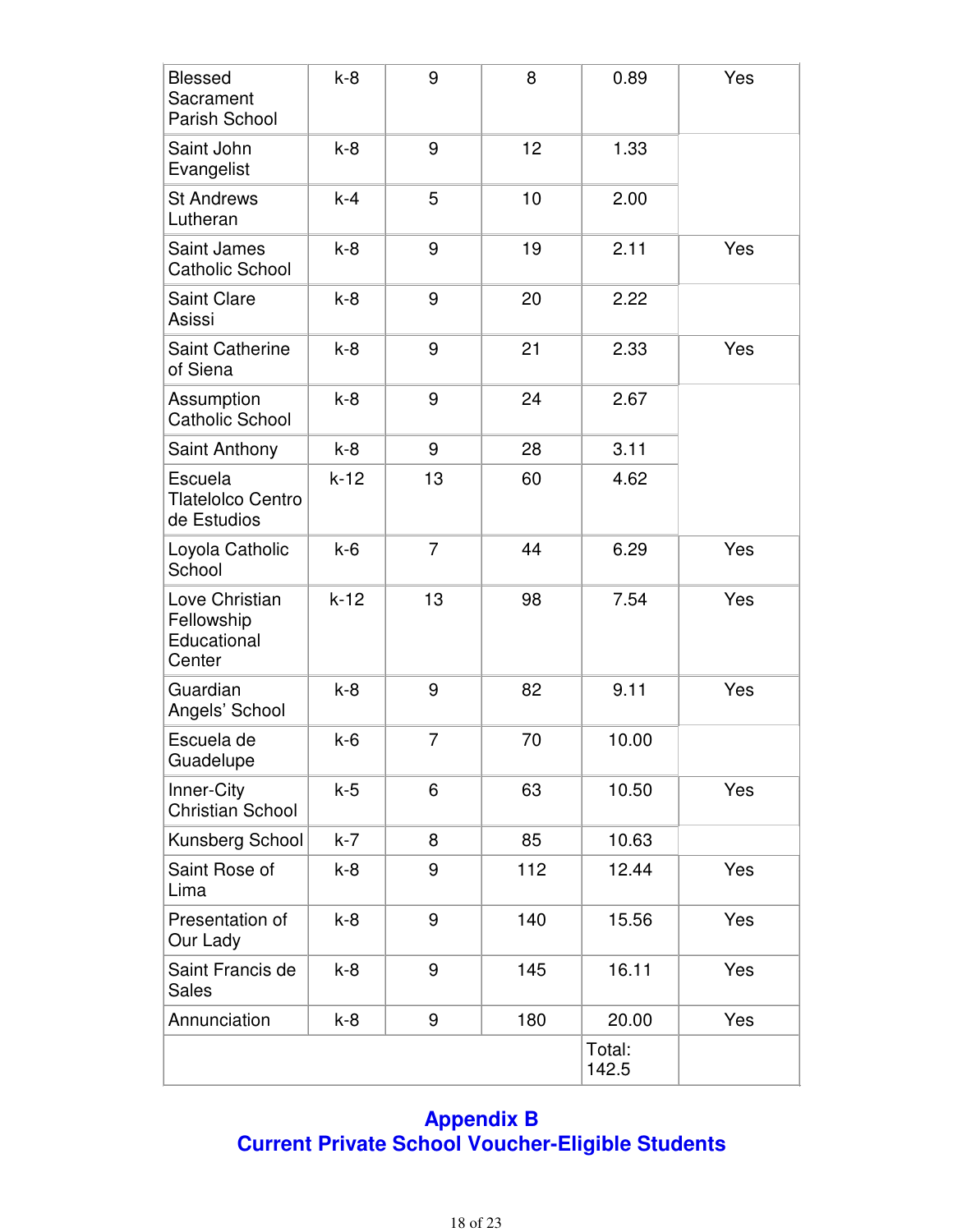| <b>Blessed</b><br>Sacrament<br>Parish School          | $k-8$  | 9              | 8   | 0.89            | Yes |
|-------------------------------------------------------|--------|----------------|-----|-----------------|-----|
| Saint John<br>Evangelist                              | $k-8$  | 9              | 12  | 1.33            |     |
| <b>St Andrews</b><br>Lutheran                         | $k-4$  | 5              | 10  | 2.00            |     |
| <b>Saint James</b><br><b>Catholic School</b>          | $k-8$  | 9              | 19  | 2.11            | Yes |
| <b>Saint Clare</b><br>Asissi                          | $k-8$  | 9              | 20  | 2.22            |     |
| <b>Saint Catherine</b><br>of Siena                    | $k-8$  | 9              | 21  | 2.33            | Yes |
| Assumption<br><b>Catholic School</b>                  | $k-8$  | 9              | 24  | 2.67            |     |
| Saint Anthony                                         | $k-8$  | 9              | 28  | 3.11            |     |
| Escuela<br><b>Tlatelolco Centro</b><br>de Estudios    | $k-12$ | 13             | 60  | 4.62            |     |
| Loyola Catholic<br>School                             | $k-6$  | 7              | 44  | 6.29            | Yes |
| Love Christian<br>Fellowship<br>Educational<br>Center | $k-12$ | 13             | 98  | 7.54            | Yes |
| Guardian<br>Angels' School                            | $k-8$  | 9              | 82  | 9.11            | Yes |
| Escuela de<br>Guadelupe                               | $k-6$  | $\overline{7}$ | 70  | 10.00           |     |
| Inner-City<br><b>Christian School</b>                 | $k-5$  | 6              | 63  | 10.50           | Yes |
| Kunsberg School                                       | $k-7$  | 8              | 85  | 10.63           |     |
| Saint Rose of<br>Lima                                 | $k-8$  | 9              | 112 | 12.44           | Yes |
| Presentation of<br>Our Lady                           | $k-8$  | 9              | 140 | 15.56           | Yes |
| Saint Francis de<br><b>Sales</b>                      | $k-8$  | 9              | 145 | 16.11           | Yes |
| Annunciation                                          | $k-8$  | 9              | 180 | 20.00           | Yes |
|                                                       |        |                |     | Total:<br>142.5 |     |

# **Appendix B Current Private School Voucher-Eligible Students**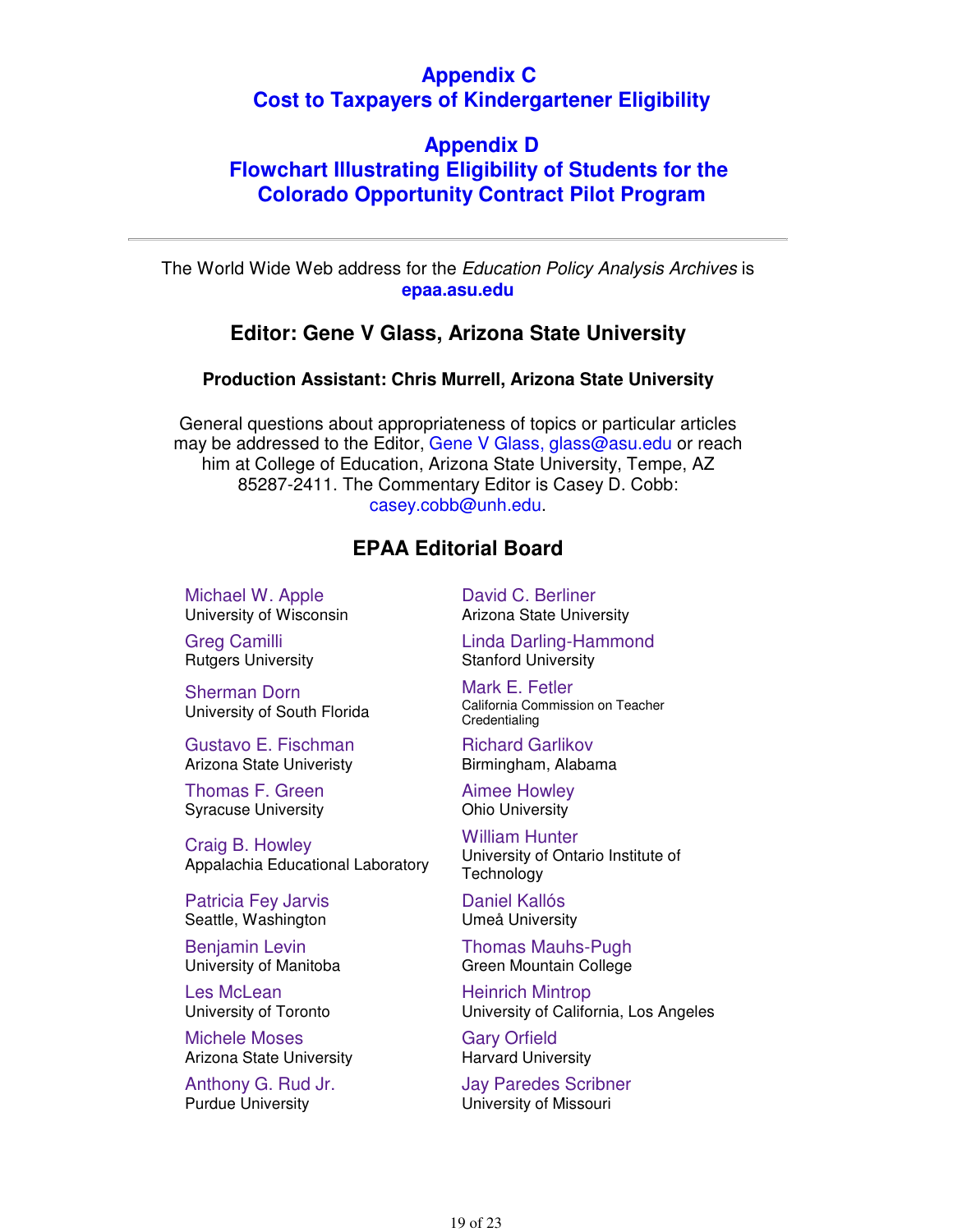## **Appendix C Cost to Taxpayers of Kindergartener Eligibility**

# **Appendix D Flowchart Illustrating Eligibility of Students for the Colorado Opportunity Contract Pilot Program**

The World Wide Web address for the Education Policy Analysis Archives is **epaa.asu.edu**

### **Editor: Gene V Glass, Arizona State University**

#### **Production Assistant: Chris Murrell, Arizona State University**

General questions about appropriateness of topics or particular articles may be addressed to the Editor, Gene V Glass, glass@asu.edu or reach him at College of Education, Arizona State University, Tempe, AZ 85287-2411. The Commentary Editor is Casey D. Cobb: casey.cobb@unh.edu.

### **EPAA Editorial Board**

Michael W. Apple University of Wisconsin

Greg Camilli Rutgers University

Sherman Dorn University of South Florida

Gustavo E. Fischman Arizona State Univeristy

Thomas F. Green Syracuse University

Craig B. Howley Appalachia Educational Laboratory

Patricia Fey Jarvis Seattle, Washington

Benjamin Levin University of Manitoba

Les McLean University of Toronto

Michele Moses Arizona State University

Anthony G. Rud Jr. Purdue University

David C. Berliner Arizona State University

Linda Darling-Hammond Stanford University

Mark E. Fetler California Commission on Teacher **Credentialing** 

Richard Garlikov Birmingham, Alabama

Aimee Howley Ohio University

William Hunter University of Ontario Institute of **Technology** 

Daniel Kallós Umeå University

Thomas Mauhs-Pugh Green Mountain College

Heinrich Mintrop University of California, Los Angeles

Gary Orfield Harvard University

Jay Paredes Scribner University of Missouri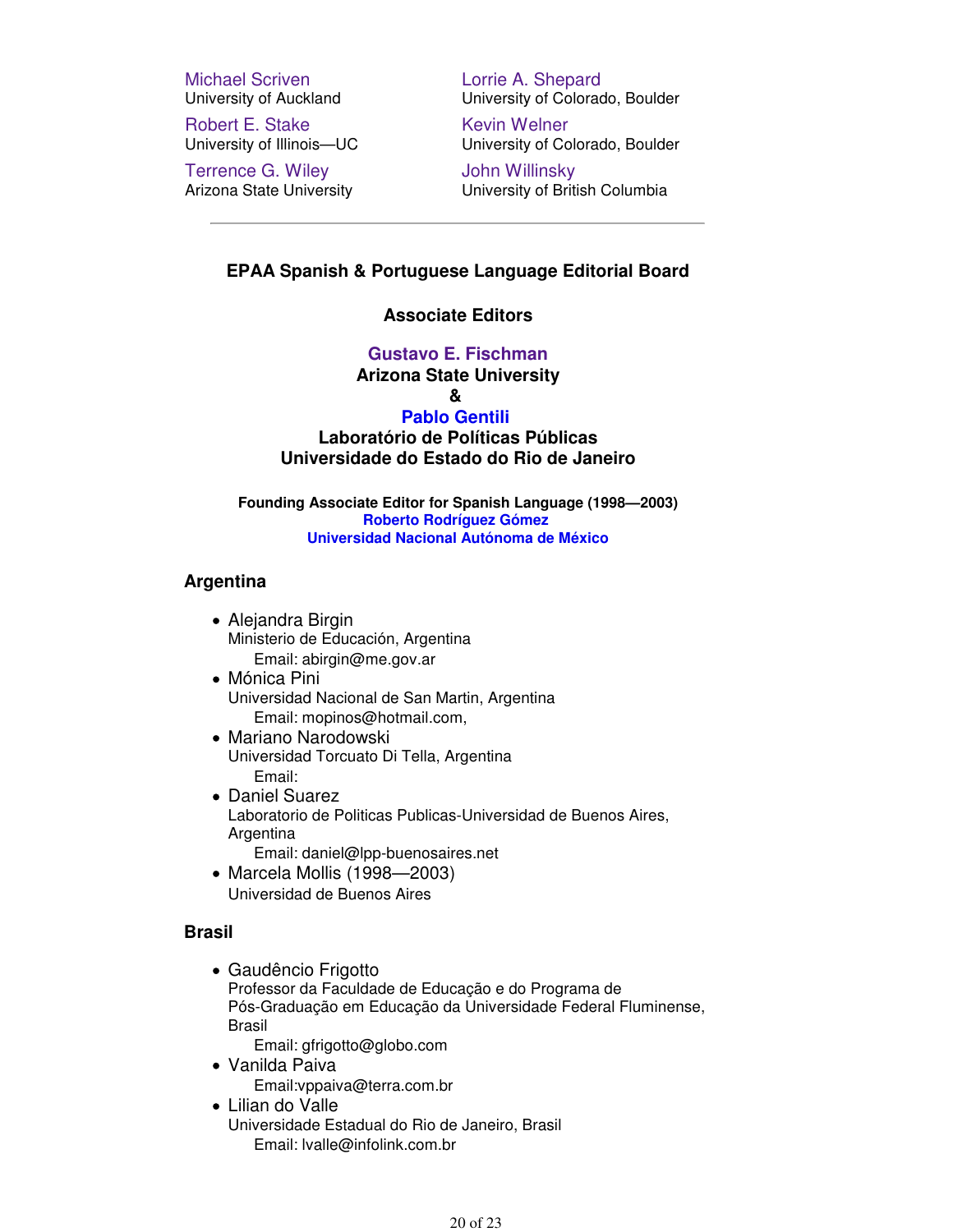Michael Scriven University of Auckland

Robert E. Stake University of Illinois—UC

Terrence G. Wiley Arizona State University Lorrie A. Shepard University of Colorado, Boulder

Kevin Welner University of Colorado, Boulder

John Willinsky University of British Columbia

#### **EPAA Spanish & Portuguese Language Editorial Board**

#### **Associate Editors**

#### **Gustavo E. Fischman**

### **Arizona State University**

#### **&**

#### **Pablo Gentili**

**Laboratório de Políticas Públicas Universidade do Estado do Rio de Janeiro**

**Founding Associate Editor for Spanish Language (1998—2003) Roberto Rodríguez Gómez Universidad Nacional Autónoma de México**

#### **Argentina**

- Alejandra Birgin Ministerio de Educación, Argentina Email: abirgin@me.gov.ar
- Mónica Pini Universidad Nacional de San Martin, Argentina Email: mopinos@hotmail.com,
- Mariano Narodowski Universidad Torcuato Di Tella, Argentina Email:
- Daniel Suarez Laboratorio de Politicas Publicas-Universidad de Buenos Aires, Argentina
	- Email: daniel@lpp-buenosaires.net
- Marcela Mollis (1998—2003) Universidad de Buenos Aires

#### **Brasil**

- Gaudêncio Frigotto Professor da Faculdade de Educação e do Programa de Pós-Graduação em Educação da Universidade Federal Fluminense, Brasil
	- Email: gfrigotto@globo.com
- Vanilda Paiva
	- Email:vppaiva@terra.com.br
- Lilian do Valle Universidade Estadual do Rio de Janeiro, Brasil Email: lvalle@infolink.com.br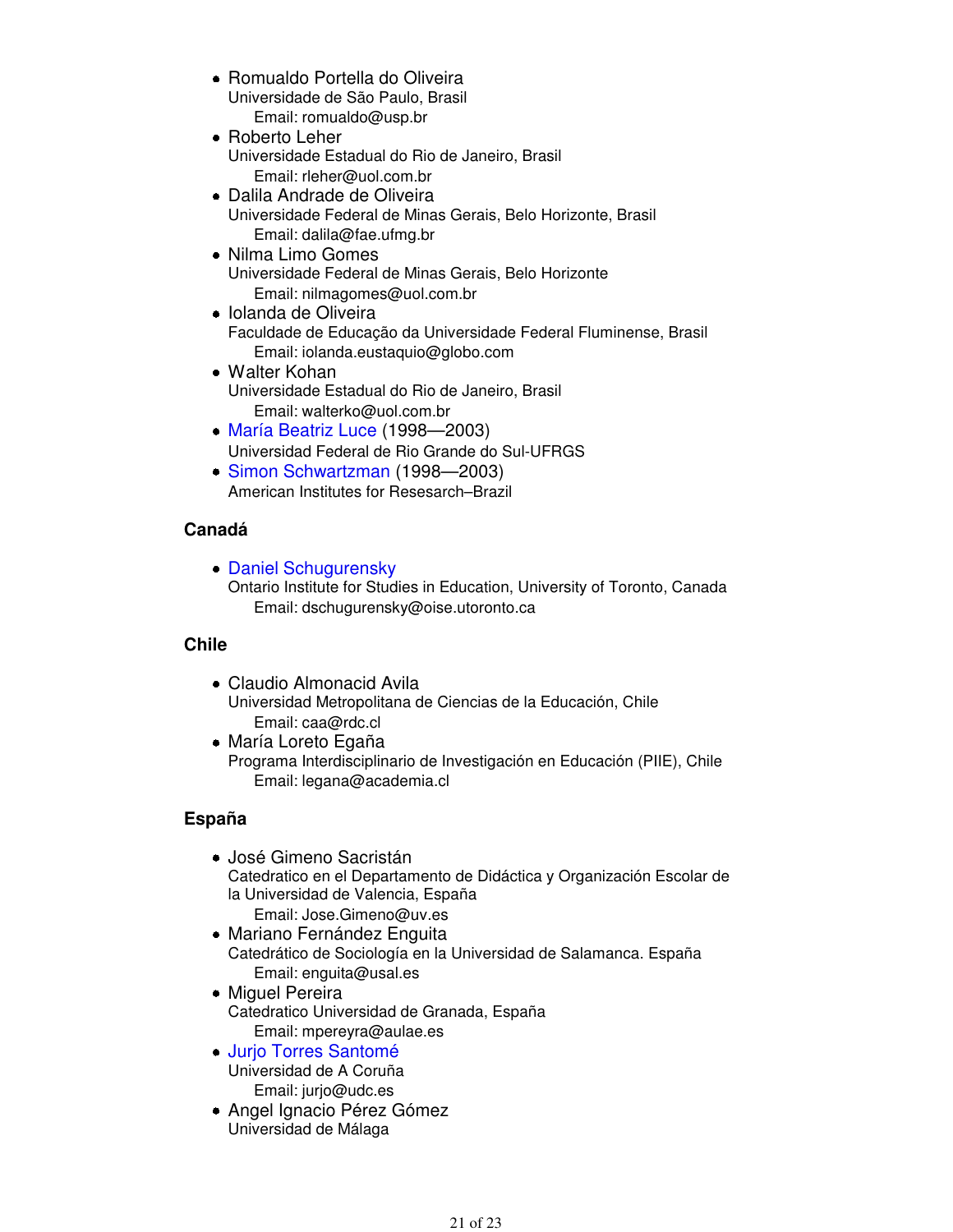- Romualdo Portella do Oliveira Universidade de São Paulo, Brasil Email: romualdo@usp.br
- Roberto Leher Universidade Estadual do Rio de Janeiro, Brasil Email: rleher@uol.com.br
- Dalila Andrade de Oliveira Universidade Federal de Minas Gerais, Belo Horizonte, Brasil Email: dalila@fae.ufmg.br
- Nilma Limo Gomes Universidade Federal de Minas Gerais, Belo Horizonte Email: nilmagomes@uol.com.br
- Iolanda de Oliveira Faculdade de Educação da Universidade Federal Fluminense, Brasil Email: iolanda.eustaquio@globo.com
- Walter Kohan Universidade Estadual do Rio de Janeiro, Brasil Email: walterko@uol.com.br
- María Beatriz Luce (1998—2003) Universidad Federal de Rio Grande do Sul-UFRGS
- Simon Schwartzman (1998—2003) American Institutes for Resesarch–Brazil

### **Canadá**

• Daniel Schugurensky

Ontario Institute for Studies in Education, University of Toronto, Canada Email: dschugurensky@oise.utoronto.ca

### **Chile**

- Claudio Almonacid Avila Universidad Metropolitana de Ciencias de la Educación, Chile Email: caa@rdc.cl
- María Loreto Egaña Programa Interdisciplinario de Investigación en Educación (PIIE), Chile Email: legana@academia.cl

### **España**

- José Gimeno Sacristán Catedratico en el Departamento de Didáctica y Organización Escolar de la Universidad de Valencia, España Email: Jose.Gimeno@uv.es
- Mariano Fernández Enguita Catedrático de Sociología en la Universidad de Salamanca. España Email: enguita@usal.es
- Miguel Pereira Catedratico Universidad de Granada, España Email: mpereyra@aulae.es
- Jurjo Torres Santomé Universidad de A Coruña Email: jurjo@udc.es
- Angel Ignacio Pérez Gómez Universidad de Málaga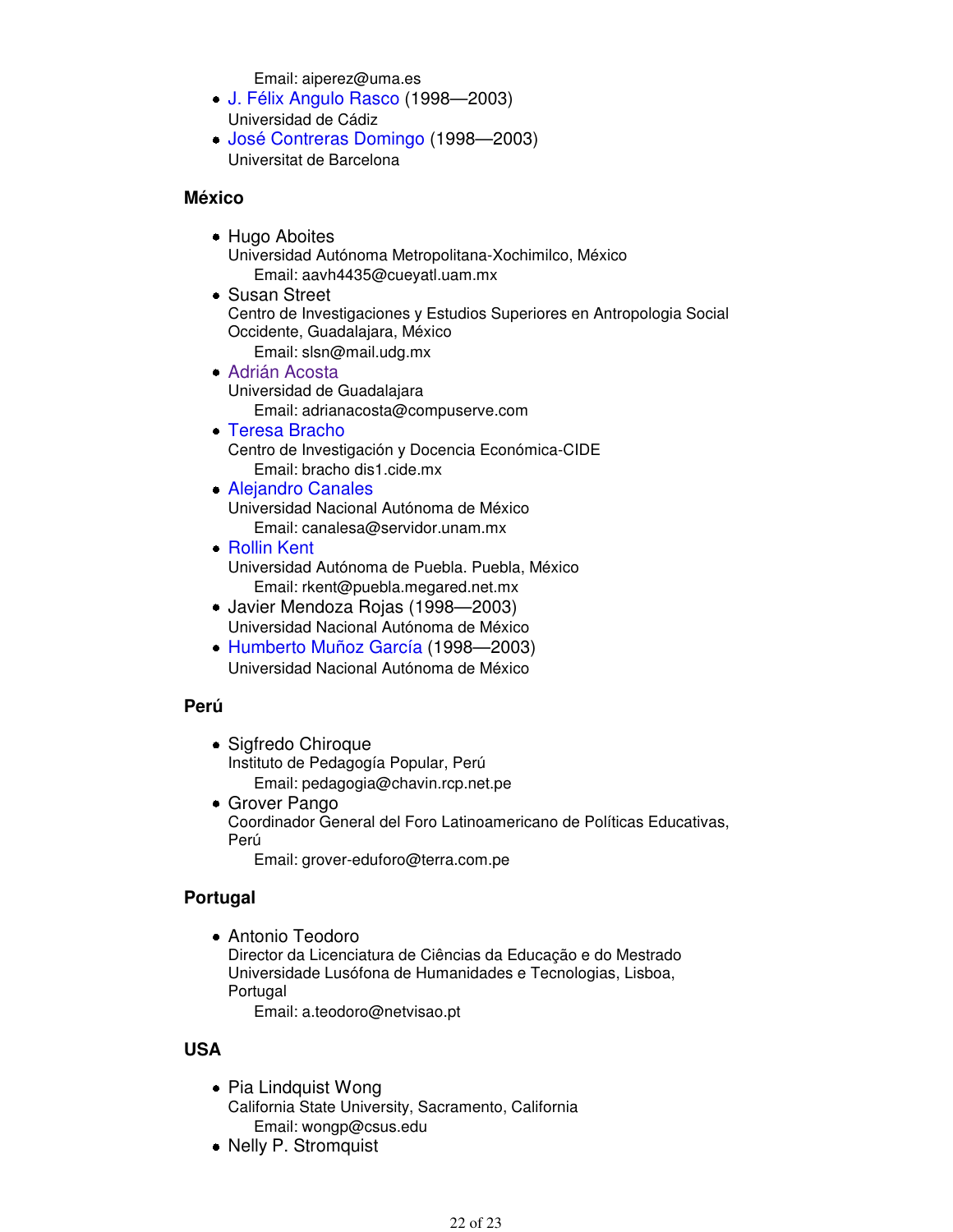Email: aiperez@uma.es

- J. Félix Angulo Rasco (1998—2003) Universidad de Cádiz
- José Contreras Domingo (1998—2003) Universitat de Barcelona

#### **México**

- Hugo Aboites Universidad Autónoma Metropolitana-Xochimilco, México Email: aavh4435@cueyatl.uam.mx
- Susan Street Centro de Investigaciones y Estudios Superiores en Antropologia Social Occidente, Guadalajara, México Email: slsn@mail.udg.mx
- Adrián Acosta Universidad de Guadalajara Email: adrianacosta@compuserve.com
- Teresa Bracho Centro de Investigación y Docencia Económica-CIDE Email: bracho dis1.cide.mx
- Alejandro Canales Universidad Nacional Autónoma de México
	- Email: canalesa@servidor.unam.mx
- Rollin Kent Universidad Autónoma de Puebla. Puebla, México Email: rkent@puebla.megared.net.mx
- Javier Mendoza Rojas (1998—2003) Universidad Nacional Autónoma de México
- Humberto Muñoz García (1998—2003) Universidad Nacional Autónoma de México

#### **Perú**

- Sigfredo Chiroque Instituto de Pedagogía Popular, Perú Email: pedagogia@chavin.rcp.net.pe
- Grover Pango Coordinador General del Foro Latinoamericano de Políticas Educativas, Perú

Email: grover-eduforo@terra.com.pe

### **Portugal**

Antonio Teodoro Director da Licenciatura de Ciências da Educação e do Mestrado Universidade Lusófona de Humanidades e Tecnologias, Lisboa, Portugal

Email: a.teodoro@netvisao.pt

### **USA**

- Pia Lindquist Wong California State University, Sacramento, California Email: wongp@csus.edu
- Nelly P. Stromquist